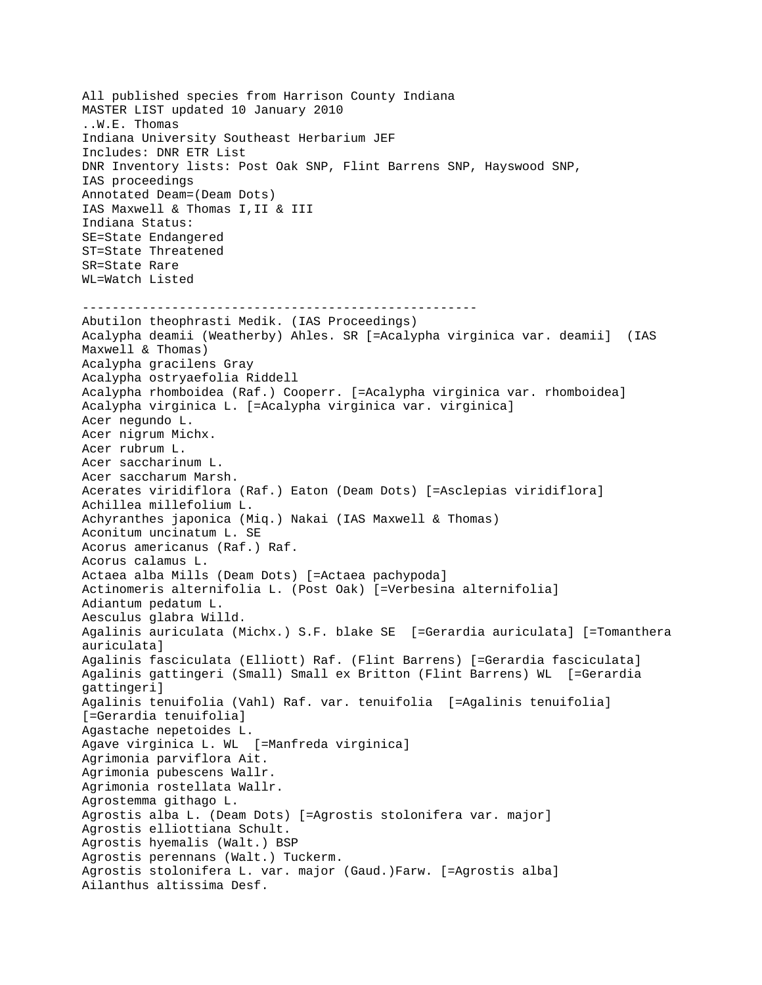All published species from Harrison County Indiana MASTER LIST updated 10 January 2010 ..W.E. Thomas Indiana University Southeast Herbarium JEF Includes: DNR ETR List DNR Inventory lists: Post Oak SNP, Flint Barrens SNP, Hayswood SNP, IAS proceedings Annotated Deam=(Deam Dots) IAS Maxwell & Thomas I,II & III Indiana Status: SE=State Endangered ST=State Threatened SR=State Rare WL=Watch Listed ----------------------------------------------------- Abutilon theophrasti Medik. (IAS Proceedings) Acalypha deamii (Weatherby) Ahles. SR [=Acalypha virginica var. deamii] (IAS Maxwell & Thomas) Acalypha gracilens Gray Acalypha ostryaefolia Riddell Acalypha rhomboidea (Raf.) Cooperr. [=Acalypha virginica var. rhomboidea] Acalypha virginica L. [=Acalypha virginica var. virginica] Acer negundo L. Acer nigrum Michx. Acer rubrum L. Acer saccharinum L. Acer saccharum Marsh. Acerates viridiflora (Raf.) Eaton (Deam Dots) [=Asclepias viridiflora] Achillea millefolium L. Achyranthes japonica (Miq.) Nakai (IAS Maxwell & Thomas) Aconitum uncinatum L. SE Acorus americanus (Raf.) Raf. Acorus calamus L. Actaea alba Mills (Deam Dots) [=Actaea pachypoda] Actinomeris alternifolia L. (Post Oak) [=Verbesina alternifolia] Adiantum pedatum L. Aesculus glabra Willd. Agalinis auriculata (Michx.) S.F. blake SE [=Gerardia auriculata] [=Tomanthera auriculata] Agalinis fasciculata (Elliott) Raf. (Flint Barrens) [=Gerardia fasciculata] Agalinis gattingeri (Small) Small ex Britton (Flint Barrens) WL [=Gerardia gattingeri] Agalinis tenuifolia (Vahl) Raf. var. tenuifolia [=Agalinis tenuifolia] [=Gerardia tenuifolia] Agastache nepetoides L. Agave virginica L. WL [=Manfreda virginica] Agrimonia parviflora Ait. Agrimonia pubescens Wallr. Agrimonia rostellata Wallr. Agrostemma githago L. Agrostis alba L. (Deam Dots) [=Agrostis stolonifera var. major] Agrostis elliottiana Schult. Agrostis hyemalis (Walt.) BSP Agrostis perennans (Walt.) Tuckerm. Agrostis stolonifera L. var. major (Gaud.)Farw. [=Agrostis alba] Ailanthus altissima Desf.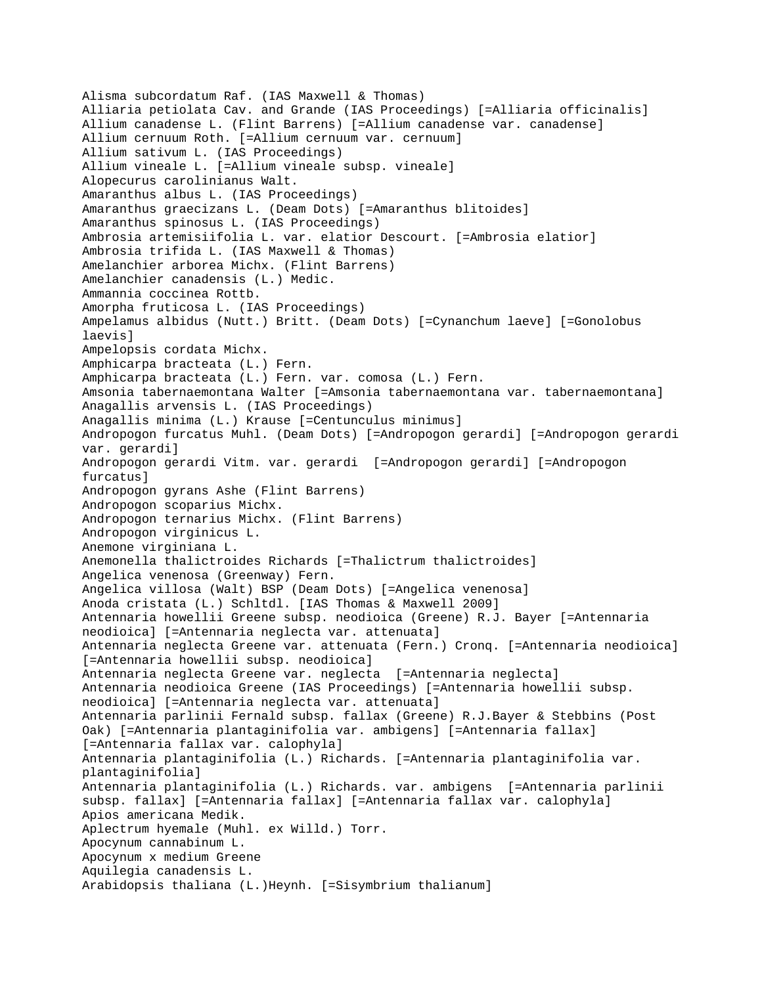```
Alisma subcordatum Raf. (IAS Maxwell & Thomas)
Alliaria petiolata Cav. and Grande (IAS Proceedings) [=Alliaria officinalis]
Allium canadense L. (Flint Barrens) [=Allium canadense var. canadense]
Allium cernuum Roth. [=Allium cernuum var. cernuum]
Allium sativum L. (IAS Proceedings)
Allium vineale L. [=Allium vineale subsp. vineale]
Alopecurus carolinianus Walt.
Amaranthus albus L. (IAS Proceedings)
Amaranthus graecizans L. (Deam Dots) [=Amaranthus blitoides]
Amaranthus spinosus L. (IAS Proceedings)
Ambrosia artemisiifolia L. var. elatior Descourt. [=Ambrosia elatior]
Ambrosia trifida L. (IAS Maxwell & Thomas)
Amelanchier arborea Michx. (Flint Barrens)
Amelanchier canadensis (L.) Medic.
Ammannia coccinea Rottb.
Amorpha fruticosa L. (IAS Proceedings)
Ampelamus albidus (Nutt.) Britt. (Deam Dots) [=Cynanchum laeve] [=Gonolobus 
laevis]
Ampelopsis cordata Michx.
Amphicarpa bracteata (L.) Fern.
Amphicarpa bracteata (L.) Fern. var. comosa (L.) Fern.
Amsonia tabernaemontana Walter [=Amsonia tabernaemontana var. tabernaemontana]
Anagallis arvensis L. (IAS Proceedings)
Anagallis minima (L.) Krause [=Centunculus minimus]
Andropogon furcatus Muhl. (Deam Dots) [=Andropogon gerardi] [=Andropogon gerardi 
var. gerardi]
Andropogon gerardi Vitm. var. gerardi [=Andropogon gerardi] [=Andropogon 
furcatus]
Andropogon gyrans Ashe (Flint Barrens)
Andropogon scoparius Michx.
Andropogon ternarius Michx. (Flint Barrens)
Andropogon virginicus L.
Anemone virginiana L.
Anemonella thalictroides Richards [=Thalictrum thalictroides]
Angelica venenosa (Greenway) Fern.
Angelica villosa (Walt) BSP (Deam Dots) [=Angelica venenosa]
Anoda cristata (L.) Schltdl. [IAS Thomas & Maxwell 2009]
Antennaria howellii Greene subsp. neodioica (Greene) R.J. Bayer [=Antennaria 
neodioica] [=Antennaria neglecta var. attenuata]
Antennaria neglecta Greene var. attenuata (Fern.) Cronq. [=Antennaria neodioica] 
[=Antennaria howellii subsp. neodioica]
Antennaria neglecta Greene var. neglecta [=Antennaria neglecta]
Antennaria neodioica Greene (IAS Proceedings) [=Antennaria howellii subsp. 
neodioica] [=Antennaria neglecta var. attenuata]
Antennaria parlinii Fernald subsp. fallax (Greene) R.J.Bayer & Stebbins (Post 
Oak) [=Antennaria plantaginifolia var. ambigens] [=Antennaria fallax] 
[=Antennaria fallax var. calophyla]
Antennaria plantaginifolia (L.) Richards. [=Antennaria plantaginifolia var. 
plantaginifolia]
Antennaria plantaginifolia (L.) Richards. var. ambigens [=Antennaria parlinii 
subsp. fallax] [=Antennaria fallax] [=Antennaria fallax var. calophyla]
Apios americana Medik.
Aplectrum hyemale (Muhl. ex Willd.) Torr.
Apocynum cannabinum L.
Apocynum x medium Greene
Aquilegia canadensis L.
Arabidopsis thaliana (L.)Heynh. [=Sisymbrium thalianum]
```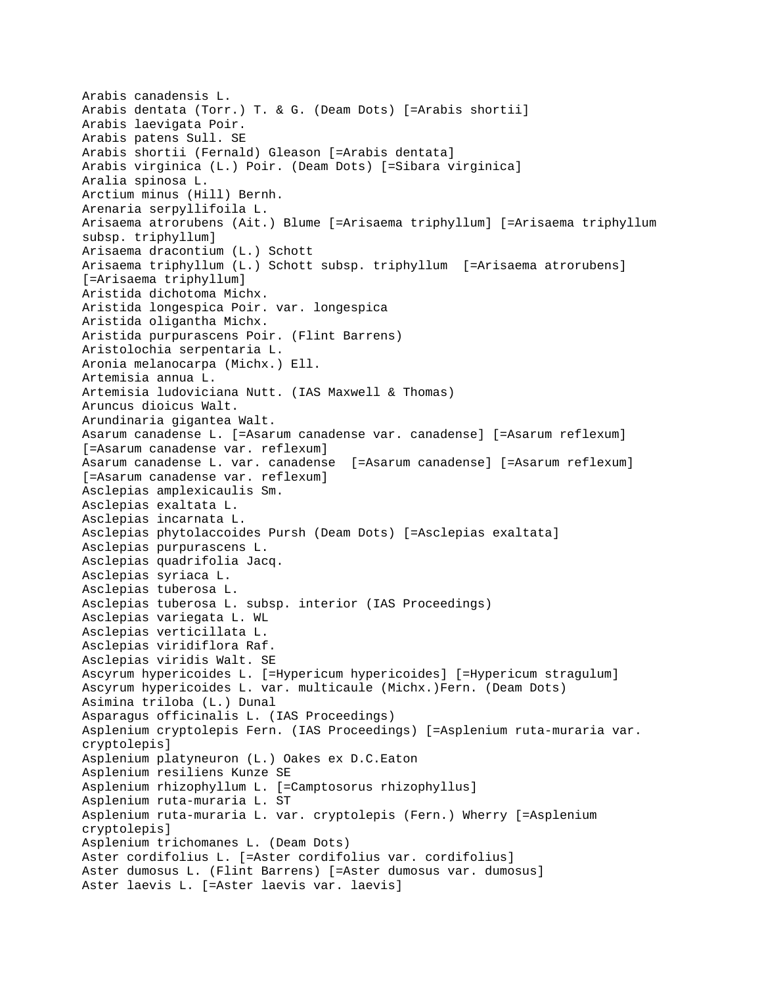```
Arabis canadensis L.
Arabis dentata (Torr.) T. & G. (Deam Dots) [=Arabis shortii]
Arabis laevigata Poir.
Arabis patens Sull. SE 
Arabis shortii (Fernald) Gleason [=Arabis dentata]
Arabis virginica (L.) Poir. (Deam Dots) [=Sibara virginica]
Aralia spinosa L.
Arctium minus (Hill) Bernh.
Arenaria serpyllifoila L.
Arisaema atrorubens (Ait.) Blume [=Arisaema triphyllum] [=Arisaema triphyllum 
subsp. triphyllum]
Arisaema dracontium (L.) Schott
Arisaema triphyllum (L.) Schott subsp. triphyllum [=Arisaema atrorubens] 
[=Arisaema triphyllum]
Aristida dichotoma Michx.
Aristida longespica Poir. var. longespica 
Aristida oligantha Michx.
Aristida purpurascens Poir. (Flint Barrens)
Aristolochia serpentaria L.
Aronia melanocarpa (Michx.) Ell.
Artemisia annua L.
Artemisia ludoviciana Nutt. (IAS Maxwell & Thomas)
Aruncus dioicus Walt.
Arundinaria gigantea Walt.
Asarum canadense L. [=Asarum canadense var. canadense] [=Asarum reflexum] 
[=Asarum canadense var. reflexum]
Asarum canadense L. var. canadense [=Asarum canadense] [=Asarum reflexum] 
[=Asarum canadense var. reflexum]
Asclepias amplexicaulis Sm.
Asclepias exaltata L.
Asclepias incarnata L.
Asclepias phytolaccoides Pursh (Deam Dots) [=Asclepias exaltata]
Asclepias purpurascens L.
Asclepias quadrifolia Jacq.
Asclepias syriaca L.
Asclepias tuberosa L.
Asclepias tuberosa L. subsp. interior (IAS Proceedings)
Asclepias variegata L. WL
Asclepias verticillata L.
Asclepias viridiflora Raf.
Asclepias viridis Walt. SE
Ascyrum hypericoides L. [=Hypericum hypericoides] [=Hypericum stragulum]
Ascyrum hypericoides L. var. multicaule (Michx.)Fern. (Deam Dots)
Asimina triloba (L.) Dunal
Asparagus officinalis L. (IAS Proceedings)
Asplenium cryptolepis Fern. (IAS Proceedings) [=Asplenium ruta-muraria var. 
cryptolepis]
Asplenium platyneuron (L.) Oakes ex D.C.Eaton
Asplenium resiliens Kunze SE
Asplenium rhizophyllum L. [=Camptosorus rhizophyllus]
Asplenium ruta-muraria L. ST
Asplenium ruta-muraria L. var. cryptolepis (Fern.) Wherry [=Asplenium 
cryptolepis]
Asplenium trichomanes L. (Deam Dots)
Aster cordifolius L. [=Aster cordifolius var. cordifolius]
Aster dumosus L. (Flint Barrens) [=Aster dumosus var. dumosus]
Aster laevis L. [=Aster laevis var. laevis]
```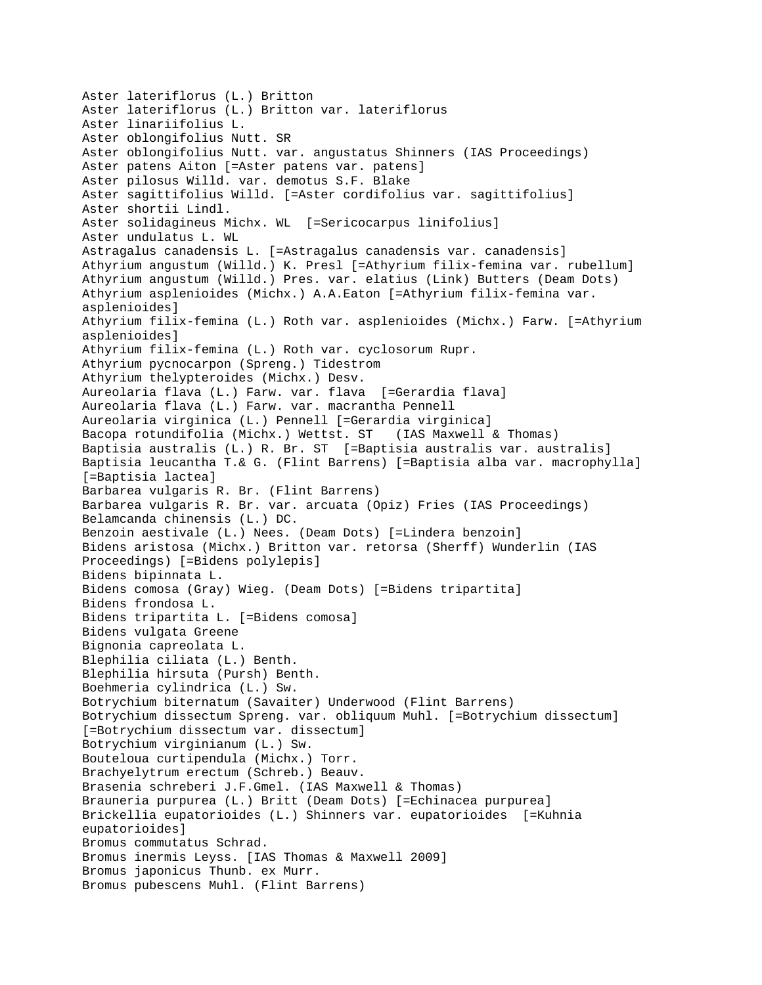Aster lateriflorus (L.) Britton Aster lateriflorus (L.) Britton var. lateriflorus Aster linariifolius L. Aster oblongifolius Nutt. SR Aster oblongifolius Nutt. var. angustatus Shinners (IAS Proceedings) Aster patens Aiton [=Aster patens var. patens] Aster pilosus Willd. var. demotus S.F. Blake Aster sagittifolius Willd. [=Aster cordifolius var. sagittifolius] Aster shortii Lindl. Aster solidagineus Michx. WL [=Sericocarpus linifolius] Aster undulatus L. WL Astragalus canadensis L. [=Astragalus canadensis var. canadensis] Athyrium angustum (Willd.) K. Presl [=Athyrium filix-femina var. rubellum] Athyrium angustum (Willd.) Pres. var. elatius (Link) Butters (Deam Dots) Athyrium asplenioides (Michx.) A.A.Eaton [=Athyrium filix-femina var. asplenioides] Athyrium filix-femina (L.) Roth var. asplenioides (Michx.) Farw. [=Athyrium asplenioides] Athyrium filix-femina (L.) Roth var. cyclosorum Rupr. Athyrium pycnocarpon (Spreng.) Tidestrom Athyrium thelypteroides (Michx.) Desv. Aureolaria flava (L.) Farw. var. flava [=Gerardia flava] Aureolaria flava (L.) Farw. var. macrantha Pennell Aureolaria virginica (L.) Pennell [=Gerardia virginica] Bacopa rotundifolia (Michx.) Wettst. ST (IAS Maxwell & Thomas) Baptisia australis (L.) R. Br. ST [=Baptisia australis var. australis] Baptisia leucantha T.& G. (Flint Barrens) [=Baptisia alba var. macrophylla] [=Baptisia lactea] Barbarea vulgaris R. Br. (Flint Barrens) Barbarea vulgaris R. Br. var. arcuata (Opiz) Fries (IAS Proceedings) Belamcanda chinensis (L.) DC. Benzoin aestivale (L.) Nees. (Deam Dots) [=Lindera benzoin] Bidens aristosa (Michx.) Britton var. retorsa (Sherff) Wunderlin (IAS Proceedings) [=Bidens polylepis] Bidens bipinnata L. Bidens comosa (Gray) Wieg. (Deam Dots) [=Bidens tripartita] Bidens frondosa L. Bidens tripartita L. [=Bidens comosa] Bidens vulgata Greene Bignonia capreolata L. Blephilia ciliata (L.) Benth. Blephilia hirsuta (Pursh) Benth. Boehmeria cylindrica (L.) Sw. Botrychium biternatum (Savaiter) Underwood (Flint Barrens) Botrychium dissectum Spreng. var. obliquum Muhl. [=Botrychium dissectum] [=Botrychium dissectum var. dissectum] Botrychium virginianum (L.) Sw. Bouteloua curtipendula (Michx.) Torr. Brachyelytrum erectum (Schreb.) Beauv. Brasenia schreberi J.F.Gmel. (IAS Maxwell & Thomas) Brauneria purpurea (L.) Britt (Deam Dots) [=Echinacea purpurea] Brickellia eupatorioides (L.) Shinners var. eupatorioides [=Kuhnia eupatorioides] Bromus commutatus Schrad. Bromus inermis Leyss. [IAS Thomas & Maxwell 2009] Bromus japonicus Thunb. ex Murr. Bromus pubescens Muhl. (Flint Barrens)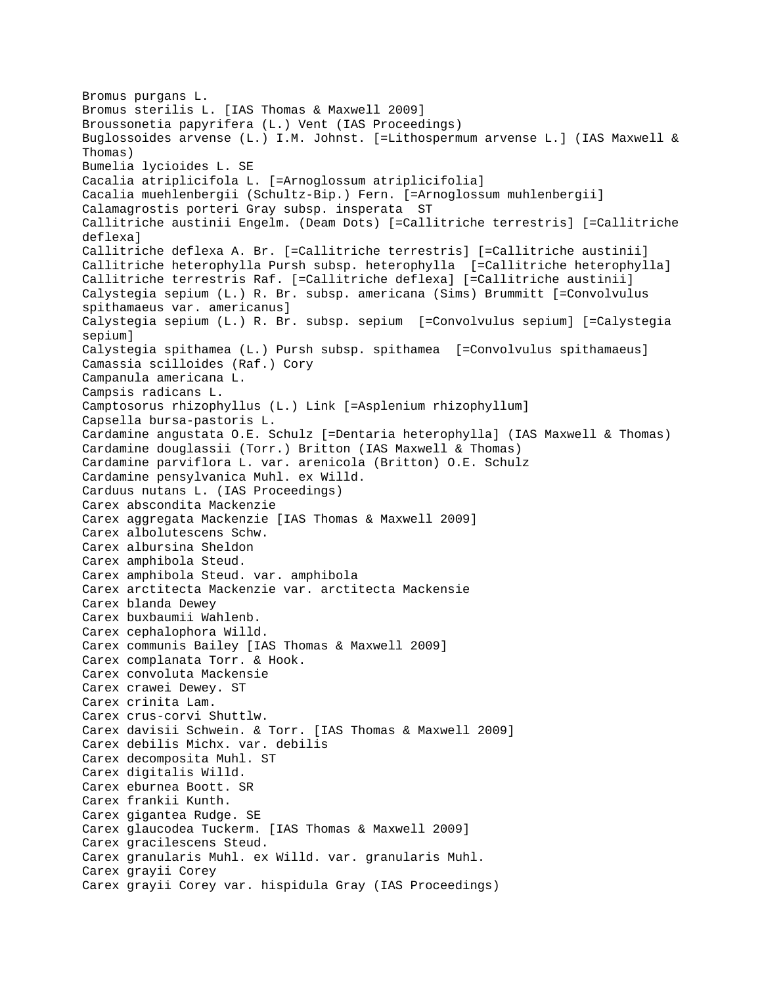```
Bromus purgans L.
Bromus sterilis L. [IAS Thomas & Maxwell 2009]
Broussonetia papyrifera (L.) Vent (IAS Proceedings)
Buglossoides arvense (L.) I.M. Johnst. [=Lithospermum arvense L.] (IAS Maxwell & 
Thomas)
Bumelia lycioides L. SE
Cacalia atriplicifola L. [=Arnoglossum atriplicifolia]
Cacalia muehlenbergii (Schultz-Bip.) Fern. [=Arnoglossum muhlenbergii]
Calamagrostis porteri Gray subsp. insperata ST
Callitriche austinii Engelm. (Deam Dots) [=Callitriche terrestris] [=Callitriche 
deflexa]
Callitriche deflexa A. Br. [=Callitriche terrestris] [=Callitriche austinii]
Callitriche heterophylla Pursh subsp. heterophylla [=Callitriche heterophylla]
Callitriche terrestris Raf. [=Callitriche deflexa] [=Callitriche austinii]
Calystegia sepium (L.) R. Br. subsp. americana (Sims) Brummitt [=Convolvulus 
spithamaeus var. americanus]
Calystegia sepium (L.) R. Br. subsp. sepium [=Convolvulus sepium] [=Calystegia 
sepium]
Calystegia spithamea (L.) Pursh subsp. spithamea [=Convolvulus spithamaeus]
Camassia scilloides (Raf.) Cory
Campanula americana L.
Campsis radicans L.
Camptosorus rhizophyllus (L.) Link [=Asplenium rhizophyllum]
Capsella bursa-pastoris L.
Cardamine angustata O.E. Schulz [=Dentaria heterophylla] (IAS Maxwell & Thomas)
Cardamine douglassii (Torr.) Britton (IAS Maxwell & Thomas)
Cardamine parviflora L. var. arenicola (Britton) O.E. Schulz
Cardamine pensylvanica Muhl. ex Willd.
Carduus nutans L. (IAS Proceedings)
Carex abscondita Mackenzie
Carex aggregata Mackenzie [IAS Thomas & Maxwell 2009]
Carex albolutescens Schw.
Carex albursina Sheldon
Carex amphibola Steud.
Carex amphibola Steud. var. amphibola 
Carex arctitecta Mackenzie var. arctitecta Mackensie
Carex blanda Dewey
Carex buxbaumii Wahlenb.
Carex cephalophora Willd.
Carex communis Bailey [IAS Thomas & Maxwell 2009]
Carex complanata Torr. & Hook.
Carex convoluta Mackensie
Carex crawei Dewey. ST 
Carex crinita Lam.
Carex crus-corvi Shuttlw.
Carex davisii Schwein. & Torr. [IAS Thomas & Maxwell 2009]
Carex debilis Michx. var. debilis 
Carex decomposita Muhl. ST
Carex digitalis Willd.
Carex eburnea Boott. SR 
Carex frankii Kunth.
Carex gigantea Rudge. SE
Carex glaucodea Tuckerm. [IAS Thomas & Maxwell 2009]
Carex gracilescens Steud.
Carex granularis Muhl. ex Willd. var. granularis Muhl.
Carex grayii Corey
Carex grayii Corey var. hispidula Gray (IAS Proceedings)
```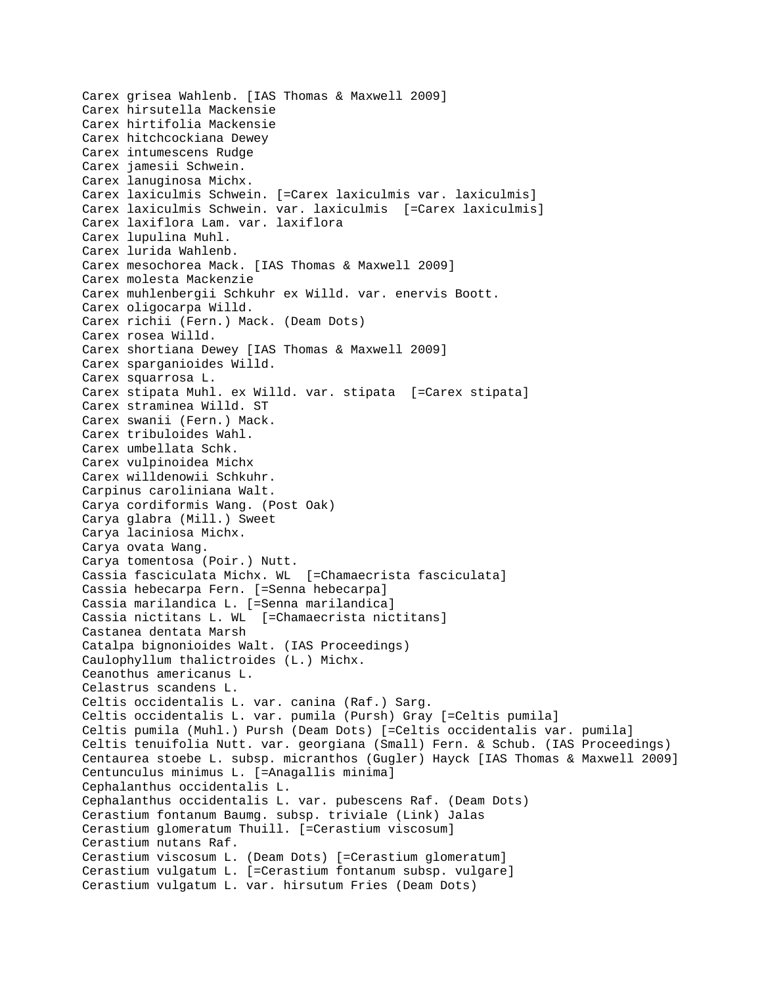Carex grisea Wahlenb. [IAS Thomas & Maxwell 2009] Carex hirsutella Mackensie Carex hirtifolia Mackensie Carex hitchcockiana Dewey Carex intumescens Rudge Carex jamesii Schwein. Carex lanuginosa Michx. Carex laxiculmis Schwein. [=Carex laxiculmis var. laxiculmis] Carex laxiculmis Schwein. var. laxiculmis [=Carex laxiculmis] Carex laxiflora Lam. var. laxiflora Carex lupulina Muhl. Carex lurida Wahlenb. Carex mesochorea Mack. [IAS Thomas & Maxwell 2009] Carex molesta Mackenzie Carex muhlenbergii Schkuhr ex Willd. var. enervis Boott. Carex oligocarpa Willd. Carex richii (Fern.) Mack. (Deam Dots) Carex rosea Willd. Carex shortiana Dewey [IAS Thomas & Maxwell 2009] Carex sparganioides Willd. Carex squarrosa L. Carex stipata Muhl. ex Willd. var. stipata [=Carex stipata] Carex straminea Willd. ST Carex swanii (Fern.) Mack. Carex tribuloides Wahl. Carex umbellata Schk. Carex vulpinoidea Michx Carex willdenowii Schkuhr. Carpinus caroliniana Walt. Carya cordiformis Wang. (Post Oak) Carya glabra (Mill.) Sweet Carya laciniosa Michx. Carya ovata Wang. Carya tomentosa (Poir.) Nutt. Cassia fasciculata Michx. WL [=Chamaecrista fasciculata] Cassia hebecarpa Fern. [=Senna hebecarpa] Cassia marilandica L. [=Senna marilandica] Cassia nictitans L. WL [=Chamaecrista nictitans] Castanea dentata Marsh Catalpa bignonioides Walt. (IAS Proceedings) Caulophyllum thalictroides (L.) Michx. Ceanothus americanus L. Celastrus scandens L. Celtis occidentalis L. var. canina (Raf.) Sarg. Celtis occidentalis L. var. pumila (Pursh) Gray [=Celtis pumila] Celtis pumila (Muhl.) Pursh (Deam Dots) [=Celtis occidentalis var. pumila] Celtis tenuifolia Nutt. var. georgiana (Small) Fern. & Schub. (IAS Proceedings) Centaurea stoebe L. subsp. micranthos (Gugler) Hayck [IAS Thomas & Maxwell 2009] Centunculus minimus L. [=Anagallis minima] Cephalanthus occidentalis L. Cephalanthus occidentalis L. var. pubescens Raf. (Deam Dots) Cerastium fontanum Baumg. subsp. triviale (Link) Jalas Cerastium glomeratum Thuill. [=Cerastium viscosum] Cerastium nutans Raf. Cerastium viscosum L. (Deam Dots) [=Cerastium glomeratum] Cerastium vulgatum L. [=Cerastium fontanum subsp. vulgare] Cerastium vulgatum L. var. hirsutum Fries (Deam Dots)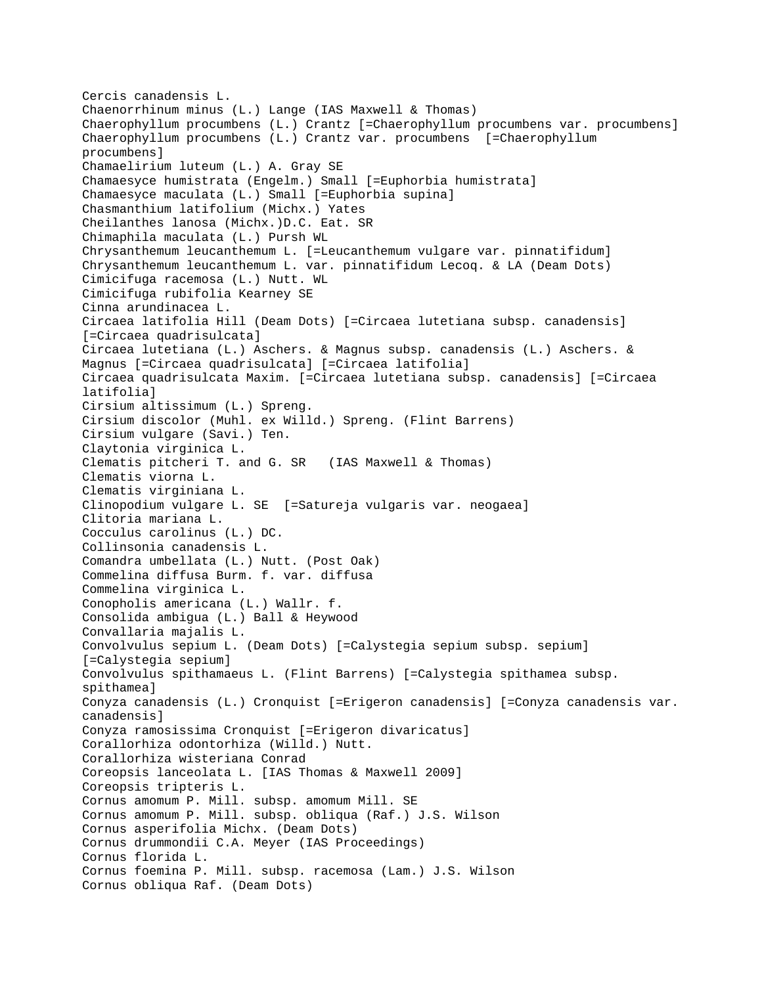```
Cercis canadensis L.
Chaenorrhinum minus (L.) Lange (IAS Maxwell & Thomas)
Chaerophyllum procumbens (L.) Crantz [=Chaerophyllum procumbens var. procumbens]
Chaerophyllum procumbens (L.) Crantz var. procumbens [=Chaerophyllum 
procumbens]
Chamaelirium luteum (L.) A. Gray SE
Chamaesyce humistrata (Engelm.) Small [=Euphorbia humistrata]
Chamaesyce maculata (L.) Small [=Euphorbia supina]
Chasmanthium latifolium (Michx.) Yates
Cheilanthes lanosa (Michx.)D.C. Eat. SR
Chimaphila maculata (L.) Pursh WL 
Chrysanthemum leucanthemum L. [=Leucanthemum vulgare var. pinnatifidum]
Chrysanthemum leucanthemum L. var. pinnatifidum Lecoq. & LA (Deam Dots)
Cimicifuga racemosa (L.) Nutt. WL
Cimicifuga rubifolia Kearney SE
Cinna arundinacea L.
Circaea latifolia Hill (Deam Dots) [=Circaea lutetiana subsp. canadensis] 
[=Circaea quadrisulcata]
Circaea lutetiana (L.) Aschers. & Magnus subsp. canadensis (L.) Aschers. & 
Magnus [=Circaea quadrisulcata] [=Circaea latifolia]
Circaea quadrisulcata Maxim. [=Circaea lutetiana subsp. canadensis] [=Circaea 
latifolia]
Cirsium altissimum (L.) Spreng.
Cirsium discolor (Muhl. ex Willd.) Spreng. (Flint Barrens)
Cirsium vulgare (Savi.) Ten.
Claytonia virginica L.
Clematis pitcheri T. and G. SR (IAS Maxwell & Thomas)
Clematis viorna L.
Clematis virginiana L.
Clinopodium vulgare L. SE [=Satureja vulgaris var. neogaea]
Clitoria mariana L.
Cocculus carolinus (L.) DC.
Collinsonia canadensis L.
Comandra umbellata (L.) Nutt. (Post Oak)
Commelina diffusa Burm. f. var. diffusa
Commelina virginica L.
Conopholis americana (L.) Wallr. f.
Consolida ambigua (L.) Ball & Heywood
Convallaria majalis L.
Convolvulus sepium L. (Deam Dots) [=Calystegia sepium subsp. sepium] 
[=Calystegia sepium]
Convolvulus spithamaeus L. (Flint Barrens) [=Calystegia spithamea subsp. 
spithamea]
Conyza canadensis (L.) Cronquist [=Erigeron canadensis] [=Conyza canadensis var. 
canadensis]
Conyza ramosissima Cronquist [=Erigeron divaricatus]
Corallorhiza odontorhiza (Willd.) Nutt.
Corallorhiza wisteriana Conrad
Coreopsis lanceolata L. [IAS Thomas & Maxwell 2009]
Coreopsis tripteris L.
Cornus amomum P. Mill. subsp. amomum Mill. SE
Cornus amomum P. Mill. subsp. obliqua (Raf.) J.S. Wilson
Cornus asperifolia Michx. (Deam Dots)
Cornus drummondii C.A. Meyer (IAS Proceedings)
Cornus florida L.
Cornus foemina P. Mill. subsp. racemosa (Lam.) J.S. Wilson
Cornus obliqua Raf. (Deam Dots)
```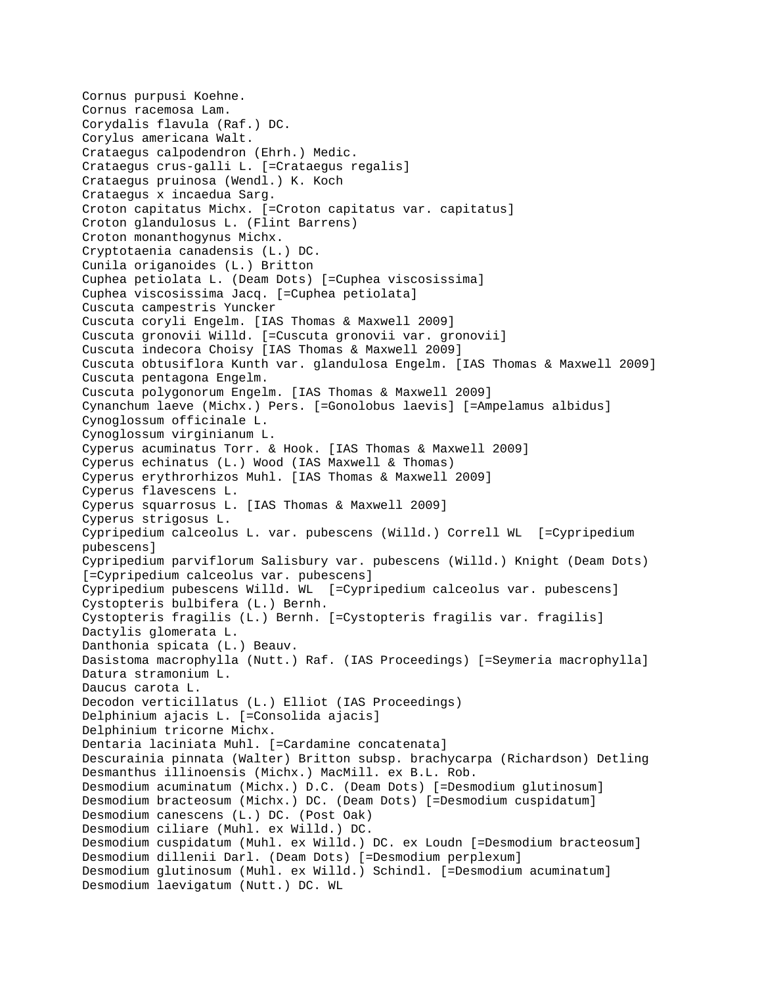Cornus purpusi Koehne. Cornus racemosa Lam. Corydalis flavula (Raf.) DC. Corylus americana Walt. Crataegus calpodendron (Ehrh.) Medic. Crataegus crus-galli L. [=Crataegus regalis] Crataegus pruinosa (Wendl.) K. Koch Crataegus x incaedua Sarg. Croton capitatus Michx. [=Croton capitatus var. capitatus] Croton glandulosus L. (Flint Barrens) Croton monanthogynus Michx. Cryptotaenia canadensis (L.) DC. Cunila origanoides (L.) Britton Cuphea petiolata L. (Deam Dots) [=Cuphea viscosissima] Cuphea viscosissima Jacq. [=Cuphea petiolata] Cuscuta campestris Yuncker Cuscuta coryli Engelm. [IAS Thomas & Maxwell 2009] Cuscuta gronovii Willd. [=Cuscuta gronovii var. gronovii] Cuscuta indecora Choisy [IAS Thomas & Maxwell 2009] Cuscuta obtusiflora Kunth var. glandulosa Engelm. [IAS Thomas & Maxwell 2009] Cuscuta pentagona Engelm. Cuscuta polygonorum Engelm. [IAS Thomas & Maxwell 2009] Cynanchum laeve (Michx.) Pers. [=Gonolobus laevis] [=Ampelamus albidus] Cynoglossum officinale L. Cynoglossum virginianum L. Cyperus acuminatus Torr. & Hook. [IAS Thomas & Maxwell 2009] Cyperus echinatus (L.) Wood (IAS Maxwell & Thomas) Cyperus erythrorhizos Muhl. [IAS Thomas & Maxwell 2009] Cyperus flavescens L. Cyperus squarrosus L. [IAS Thomas & Maxwell 2009] Cyperus strigosus L. Cypripedium calceolus L. var. pubescens (Willd.) Correll WL [=Cypripedium pubescens] Cypripedium parviflorum Salisbury var. pubescens (Willd.) Knight (Deam Dots) [=Cypripedium calceolus var. pubescens] Cypripedium pubescens Willd. WL [=Cypripedium calceolus var. pubescens] Cystopteris bulbifera (L.) Bernh. Cystopteris fragilis (L.) Bernh. [=Cystopteris fragilis var. fragilis] Dactylis glomerata L. Danthonia spicata (L.) Beauv. Dasistoma macrophylla (Nutt.) Raf. (IAS Proceedings) [=Seymeria macrophylla] Datura stramonium L. Daucus carota L. Decodon verticillatus (L.) Elliot (IAS Proceedings) Delphinium ajacis L. [=Consolida ajacis] Delphinium tricorne Michx. Dentaria laciniata Muhl. [=Cardamine concatenata] Descurainia pinnata (Walter) Britton subsp. brachycarpa (Richardson) Detling Desmanthus illinoensis (Michx.) MacMill. ex B.L. Rob. Desmodium acuminatum (Michx.) D.C. (Deam Dots) [=Desmodium glutinosum] Desmodium bracteosum (Michx.) DC. (Deam Dots) [=Desmodium cuspidatum] Desmodium canescens (L.) DC. (Post Oak) Desmodium ciliare (Muhl. ex Willd.) DC. Desmodium cuspidatum (Muhl. ex Willd.) DC. ex Loudn [=Desmodium bracteosum] Desmodium dillenii Darl. (Deam Dots) [=Desmodium perplexum] Desmodium glutinosum (Muhl. ex Willd.) Schindl. [=Desmodium acuminatum] Desmodium laevigatum (Nutt.) DC. WL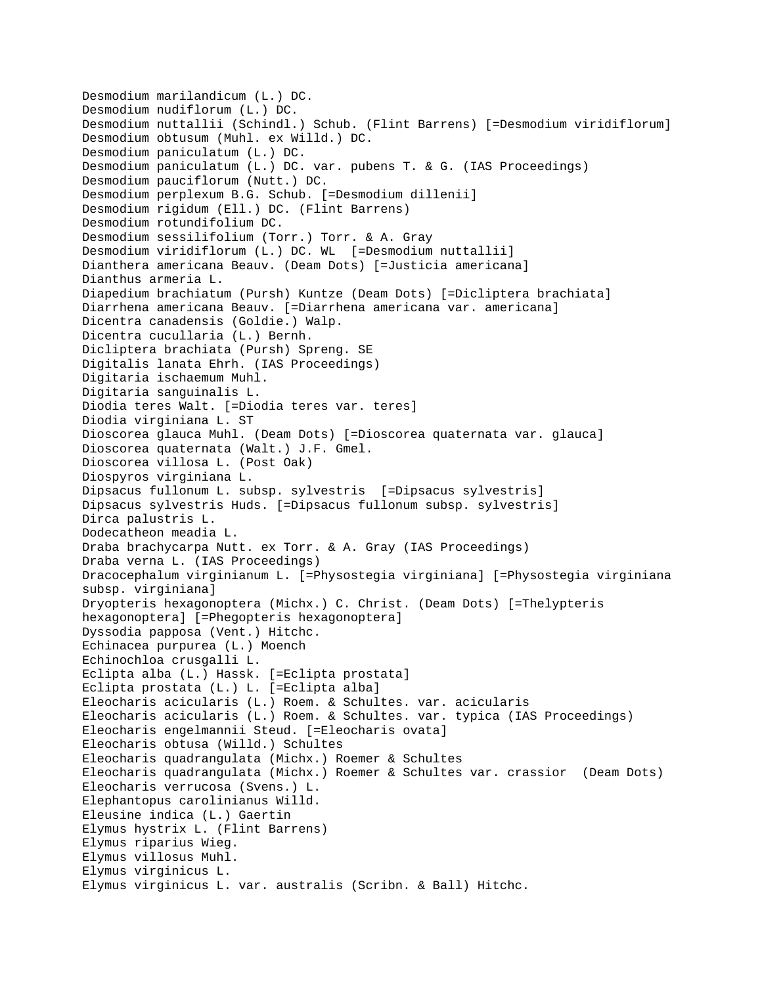```
Desmodium marilandicum (L.) DC.
Desmodium nudiflorum (L.) DC.
Desmodium nuttallii (Schindl.) Schub. (Flint Barrens) [=Desmodium viridiflorum]
Desmodium obtusum (Muhl. ex Willd.) DC.
Desmodium paniculatum (L.) DC.
Desmodium paniculatum (L.) DC. var. pubens T. & G. (IAS Proceedings)
Desmodium pauciflorum (Nutt.) DC.
Desmodium perplexum B.G. Schub. [=Desmodium dillenii]
Desmodium rigidum (Ell.) DC. (Flint Barrens)
Desmodium rotundifolium DC.
Desmodium sessilifolium (Torr.) Torr. & A. Gray
Desmodium viridiflorum (L.) DC. WL [=Desmodium nuttallii]
Dianthera americana Beauv. (Deam Dots) [=Justicia americana]
Dianthus armeria L.
Diapedium brachiatum (Pursh) Kuntze (Deam Dots) [=Dicliptera brachiata]
Diarrhena americana Beauv. [=Diarrhena americana var. americana]
Dicentra canadensis (Goldie.) Walp.
Dicentra cucullaria (L.) Bernh.
Dicliptera brachiata (Pursh) Spreng. SE 
Digitalis lanata Ehrh. (IAS Proceedings)
Digitaria ischaemum Muhl.
Digitaria sanguinalis L.
Diodia teres Walt. [=Diodia teres var. teres]
Diodia virginiana L. ST
Dioscorea glauca Muhl. (Deam Dots) [=Dioscorea quaternata var. glauca]
Dioscorea quaternata (Walt.) J.F. Gmel.
Dioscorea villosa L. (Post Oak)
Diospyros virginiana L.
Dipsacus fullonum L. subsp. sylvestris [=Dipsacus sylvestris]
Dipsacus sylvestris Huds. [=Dipsacus fullonum subsp. sylvestris]
Dirca palustris L.
Dodecatheon meadia L.
Draba brachycarpa Nutt. ex Torr. & A. Gray (IAS Proceedings)
Draba verna L. (IAS Proceedings)
Dracocephalum virginianum L. [=Physostegia virginiana] [=Physostegia virginiana 
subsp. virginiana]
Dryopteris hexagonoptera (Michx.) C. Christ. (Deam Dots) [=Thelypteris 
hexagonoptera] [=Phegopteris hexagonoptera]
Dyssodia papposa (Vent.) Hitchc.
Echinacea purpurea (L.) Moench
Echinochloa crusgalli L.
Eclipta alba (L.) Hassk. [=Eclipta prostata]
Eclipta prostata (L.) L. [=Eclipta alba]
Eleocharis acicularis (L.) Roem. & Schultes. var. acicularis
Eleocharis acicularis (L.) Roem. & Schultes. var. typica (IAS Proceedings)
Eleocharis engelmannii Steud. [=Eleocharis ovata]
Eleocharis obtusa (Willd.) Schultes
Eleocharis quadrangulata (Michx.) Roemer & Schultes
Eleocharis quadrangulata (Michx.) Roemer & Schultes var. crassior (Deam Dots)
Eleocharis verrucosa (Svens.) L.
Elephantopus carolinianus Willd.
Eleusine indica (L.) Gaertin
Elymus hystrix L. (Flint Barrens)
Elymus riparius Wieg.
Elymus villosus Muhl.
Elymus virginicus L.
Elymus virginicus L. var. australis (Scribn. & Ball) Hitchc.
```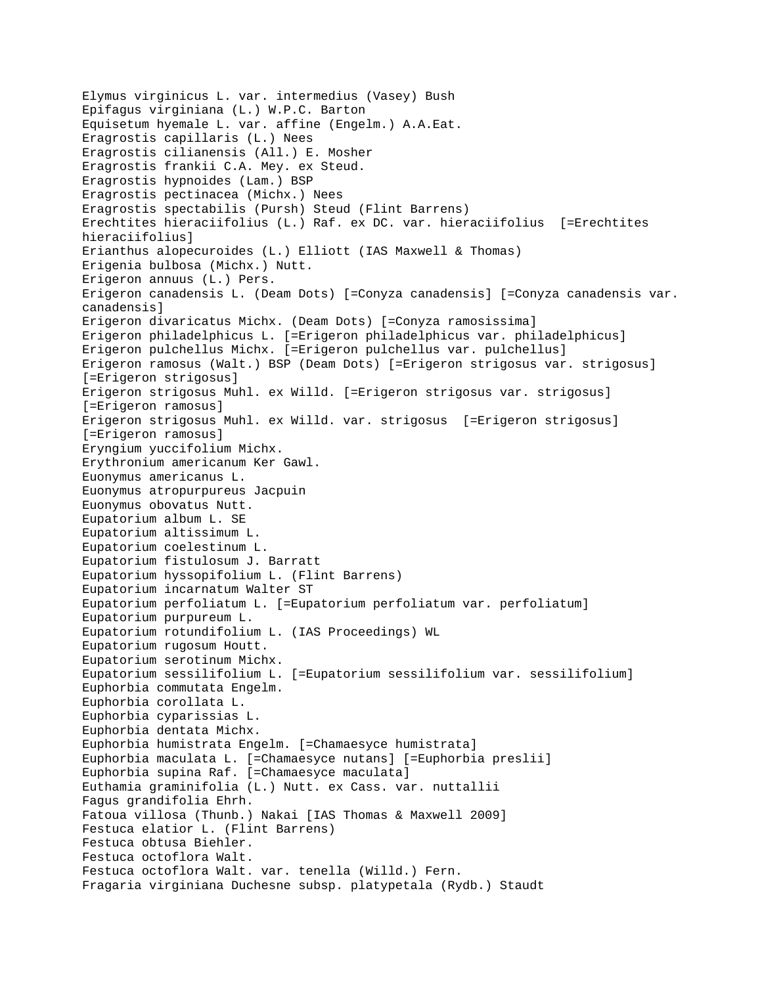```
Elymus virginicus L. var. intermedius (Vasey) Bush
Epifagus virginiana (L.) W.P.C. Barton
Equisetum hyemale L. var. affine (Engelm.) A.A.Eat.
Eragrostis capillaris (L.) Nees
Eragrostis cilianensis (All.) E. Mosher
Eragrostis frankii C.A. Mey. ex Steud.
Eragrostis hypnoides (Lam.) BSP
Eragrostis pectinacea (Michx.) Nees
Eragrostis spectabilis (Pursh) Steud (Flint Barrens)
Erechtites hieraciifolius (L.) Raf. ex DC. var. hieraciifolius [=Erechtites 
hieraciifolius]
Erianthus alopecuroides (L.) Elliott (IAS Maxwell & Thomas)
Erigenia bulbosa (Michx.) Nutt.
Erigeron annuus (L.) Pers.
Erigeron canadensis L. (Deam Dots) [=Conyza canadensis] [=Conyza canadensis var. 
canadensis]
Erigeron divaricatus Michx. (Deam Dots) [=Conyza ramosissima]
Erigeron philadelphicus L. [=Erigeron philadelphicus var. philadelphicus]
Erigeron pulchellus Michx. [=Erigeron pulchellus var. pulchellus]
Erigeron ramosus (Walt.) BSP (Deam Dots) [=Erigeron strigosus var. strigosus] 
[=Erigeron strigosus]
Erigeron strigosus Muhl. ex Willd. [=Erigeron strigosus var. strigosus] 
[=Erigeron ramosus]
Erigeron strigosus Muhl. ex Willd. var. strigosus [=Erigeron strigosus] 
[=Erigeron ramosus]
Eryngium yuccifolium Michx.
Erythronium americanum Ker Gawl.
Euonymus americanus L.
Euonymus atropurpureus Jacpuin
Euonymus obovatus Nutt.
Eupatorium album L. SE 
Eupatorium altissimum L.
Eupatorium coelestinum L.
Eupatorium fistulosum J. Barratt
Eupatorium hyssopifolium L. (Flint Barrens)
Eupatorium incarnatum Walter ST
Eupatorium perfoliatum L. [=Eupatorium perfoliatum var. perfoliatum]
Eupatorium purpureum L.
Eupatorium rotundifolium L. (IAS Proceedings) WL
Eupatorium rugosum Houtt.
Eupatorium serotinum Michx.
Eupatorium sessilifolium L. [=Eupatorium sessilifolium var. sessilifolium]
Euphorbia commutata Engelm.
Euphorbia corollata L.
Euphorbia cyparissias L.
Euphorbia dentata Michx.
Euphorbia humistrata Engelm. [=Chamaesyce humistrata]
Euphorbia maculata L. [=Chamaesyce nutans] [=Euphorbia preslii]
Euphorbia supina Raf. [=Chamaesyce maculata]
Euthamia graminifolia (L.) Nutt. ex Cass. var. nuttallii 
Fagus grandifolia Ehrh.
Fatoua villosa (Thunb.) Nakai [IAS Thomas & Maxwell 2009]
Festuca elatior L. (Flint Barrens)
Festuca obtusa Biehler.
Festuca octoflora Walt.
Festuca octoflora Walt. var. tenella (Willd.) Fern.
Fragaria virginiana Duchesne subsp. platypetala (Rydb.) Staudt
```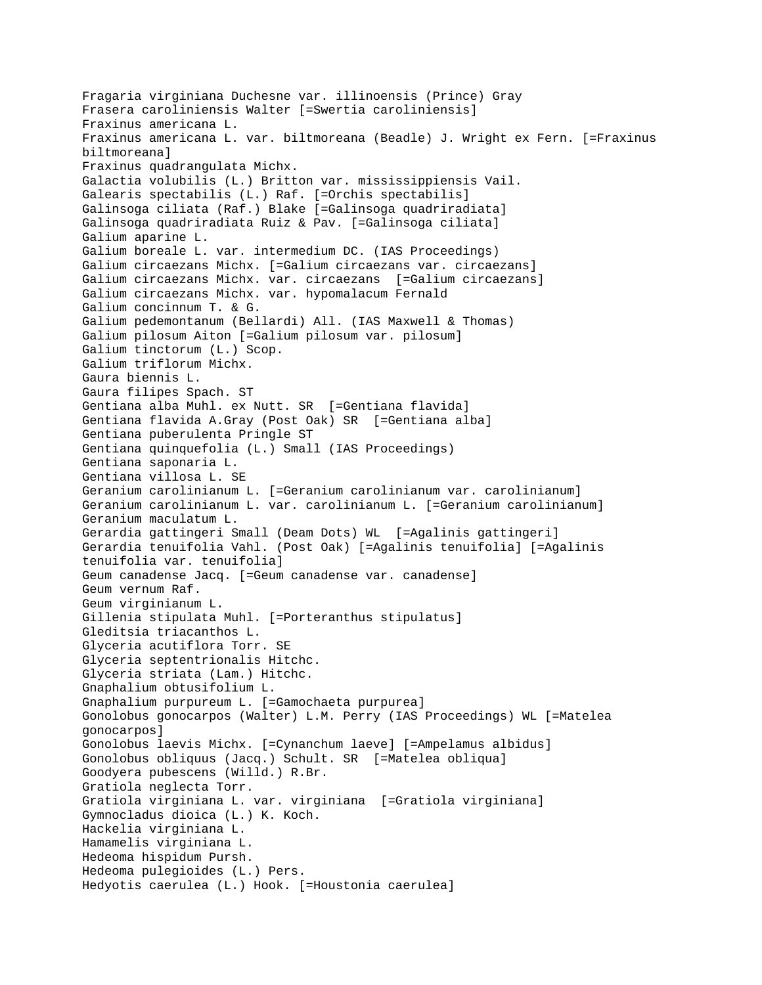```
Fragaria virginiana Duchesne var. illinoensis (Prince) Gray
Frasera caroliniensis Walter [=Swertia caroliniensis]
Fraxinus americana L.
Fraxinus americana L. var. biltmoreana (Beadle) J. Wright ex Fern. [=Fraxinus 
biltmoreana]
Fraxinus quadrangulata Michx.
Galactia volubilis (L.) Britton var. mississippiensis Vail.
Galearis spectabilis (L.) Raf. [=Orchis spectabilis]
Galinsoga ciliata (Raf.) Blake [=Galinsoga quadriradiata]
Galinsoga quadriradiata Ruiz & Pav. [=Galinsoga ciliata]
Galium aparine L.
Galium boreale L. var. intermedium DC. (IAS Proceedings)
Galium circaezans Michx. [=Galium circaezans var. circaezans]
Galium circaezans Michx. var. circaezans [=Galium circaezans]
Galium circaezans Michx. var. hypomalacum Fernald
Galium concinnum T. & G.
Galium pedemontanum (Bellardi) All. (IAS Maxwell & Thomas)
Galium pilosum Aiton [=Galium pilosum var. pilosum]
Galium tinctorum (L.) Scop.
Galium triflorum Michx.
Gaura biennis L.
Gaura filipes Spach. ST
Gentiana alba Muhl. ex Nutt. SR [=Gentiana flavida]
Gentiana flavida A.Gray (Post Oak) SR [=Gentiana alba]
Gentiana puberulenta Pringle ST
Gentiana quinquefolia (L.) Small (IAS Proceedings)
Gentiana saponaria L.
Gentiana villosa L. SE
Geranium carolinianum L. [=Geranium carolinianum var. carolinianum]
Geranium carolinianum L. var. carolinianum L. [=Geranium carolinianum]
Geranium maculatum L.
Gerardia gattingeri Small (Deam Dots) WL [=Agalinis gattingeri]
Gerardia tenuifolia Vahl. (Post Oak) [=Agalinis tenuifolia] [=Agalinis 
tenuifolia var. tenuifolia]
Geum canadense Jacq. [=Geum canadense var. canadense]
Geum vernum Raf.
Geum virginianum L.
Gillenia stipulata Muhl. [=Porteranthus stipulatus]
Gleditsia triacanthos L.
Glyceria acutiflora Torr. SE 
Glyceria septentrionalis Hitchc.
Glyceria striata (Lam.) Hitchc.
Gnaphalium obtusifolium L.
Gnaphalium purpureum L. [=Gamochaeta purpurea]
Gonolobus gonocarpos (Walter) L.M. Perry (IAS Proceedings) WL [=Matelea 
gonocarpos]
Gonolobus laevis Michx. [=Cynanchum laeve] [=Ampelamus albidus]
Gonolobus obliquus (Jacq.) Schult. SR [=Matelea obliqua]
Goodyera pubescens (Willd.) R.Br.
Gratiola neglecta Torr.
Gratiola virginiana L. var. virginiana [=Gratiola virginiana]
Gymnocladus dioica (L.) K. Koch.
Hackelia virginiana L.
Hamamelis virginiana L.
Hedeoma hispidum Pursh.
Hedeoma pulegioides (L.) Pers.
Hedyotis caerulea (L.) Hook. [=Houstonia caerulea]
```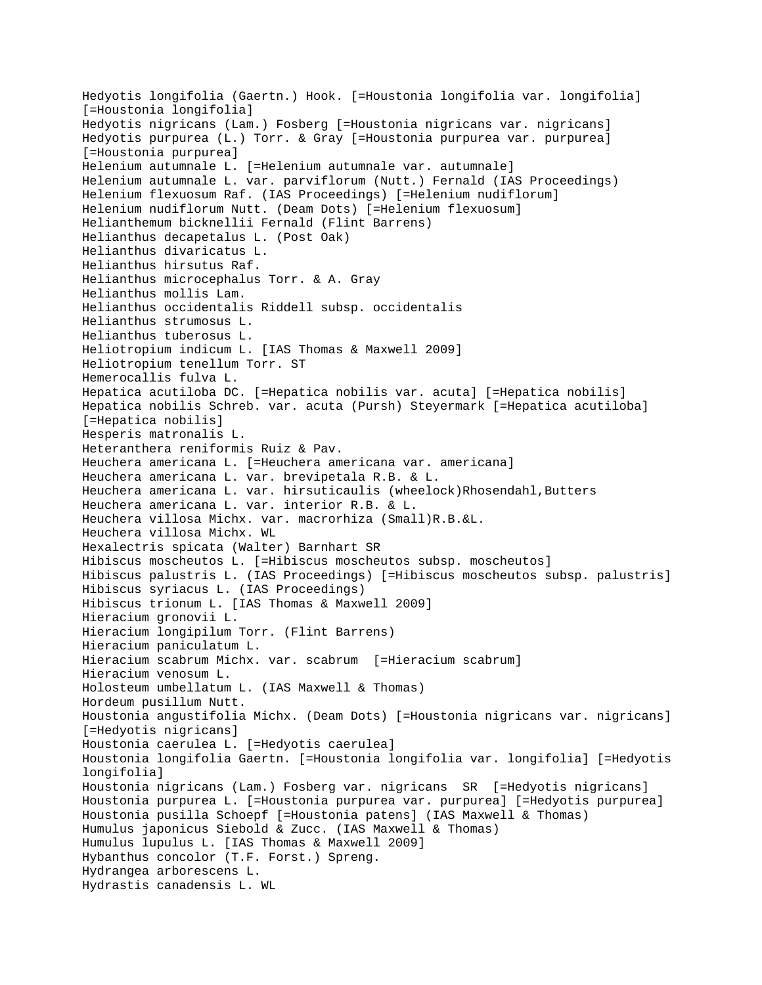```
Hedyotis longifolia (Gaertn.) Hook. [=Houstonia longifolia var. longifolia] 
[=Houstonia longifolia]
Hedyotis nigricans (Lam.) Fosberg [=Houstonia nigricans var. nigricans]
Hedyotis purpurea (L.) Torr. & Gray [=Houstonia purpurea var. purpurea] 
[=Houstonia purpurea]
Helenium autumnale L. [=Helenium autumnale var. autumnale]
Helenium autumnale L. var. parviflorum (Nutt.) Fernald (IAS Proceedings)
Helenium flexuosum Raf. (IAS Proceedings) [=Helenium nudiflorum]
Helenium nudiflorum Nutt. (Deam Dots) [=Helenium flexuosum]
Helianthemum bicknellii Fernald (Flint Barrens)
Helianthus decapetalus L. (Post Oak)
Helianthus divaricatus L.
Helianthus hirsutus Raf.
Helianthus microcephalus Torr. & A. Gray
Helianthus mollis Lam.
Helianthus occidentalis Riddell subsp. occidentalis
Helianthus strumosus L.
Helianthus tuberosus L.
Heliotropium indicum L. [IAS Thomas & Maxwell 2009]
Heliotropium tenellum Torr. ST 
Hemerocallis fulva L.
Hepatica acutiloba DC. [=Hepatica nobilis var. acuta] [=Hepatica nobilis]
Hepatica nobilis Schreb. var. acuta (Pursh) Steyermark [=Hepatica acutiloba] 
[=Hepatica nobilis]
Hesperis matronalis L.
Heteranthera reniformis Ruiz & Pav.
Heuchera americana L. [=Heuchera americana var. americana]
Heuchera americana L. var. brevipetala R.B. & L.
Heuchera americana L. var. hirsuticaulis (wheelock)Rhosendahl,Butters
Heuchera americana L. var. interior R.B. & L.
Heuchera villosa Michx. var. macrorhiza (Small)R.B.&L.
Heuchera villosa Michx. WL 
Hexalectris spicata (Walter) Barnhart SR 
Hibiscus moscheutos L. [=Hibiscus moscheutos subsp. moscheutos]
Hibiscus palustris L. (IAS Proceedings) [=Hibiscus moscheutos subsp. palustris]
Hibiscus syriacus L. (IAS Proceedings)
Hibiscus trionum L. [IAS Thomas & Maxwell 2009]
Hieracium gronovii L.
Hieracium longipilum Torr. (Flint Barrens)
Hieracium paniculatum L.
Hieracium scabrum Michx. var. scabrum [=Hieracium scabrum]
Hieracium venosum L.
Holosteum umbellatum L. (IAS Maxwell & Thomas)
Hordeum pusillum Nutt.
Houstonia angustifolia Michx. (Deam Dots) [=Houstonia nigricans var. nigricans] 
[=Hedyotis nigricans]
Houstonia caerulea L. [=Hedyotis caerulea]
Houstonia longifolia Gaertn. [=Houstonia longifolia var. longifolia] [=Hedyotis 
longifolia]
Houstonia nigricans (Lam.) Fosberg var. nigricans SR [=Hedyotis nigricans]
Houstonia purpurea L. [=Houstonia purpurea var. purpurea] [=Hedyotis purpurea]
Houstonia pusilla Schoepf [=Houstonia patens] (IAS Maxwell & Thomas)
Humulus japonicus Siebold & Zucc. (IAS Maxwell & Thomas)
Humulus lupulus L. [IAS Thomas & Maxwell 2009]
Hybanthus concolor (T.F. Forst.) Spreng.
Hydrangea arborescens L.
Hydrastis canadensis L. WL
```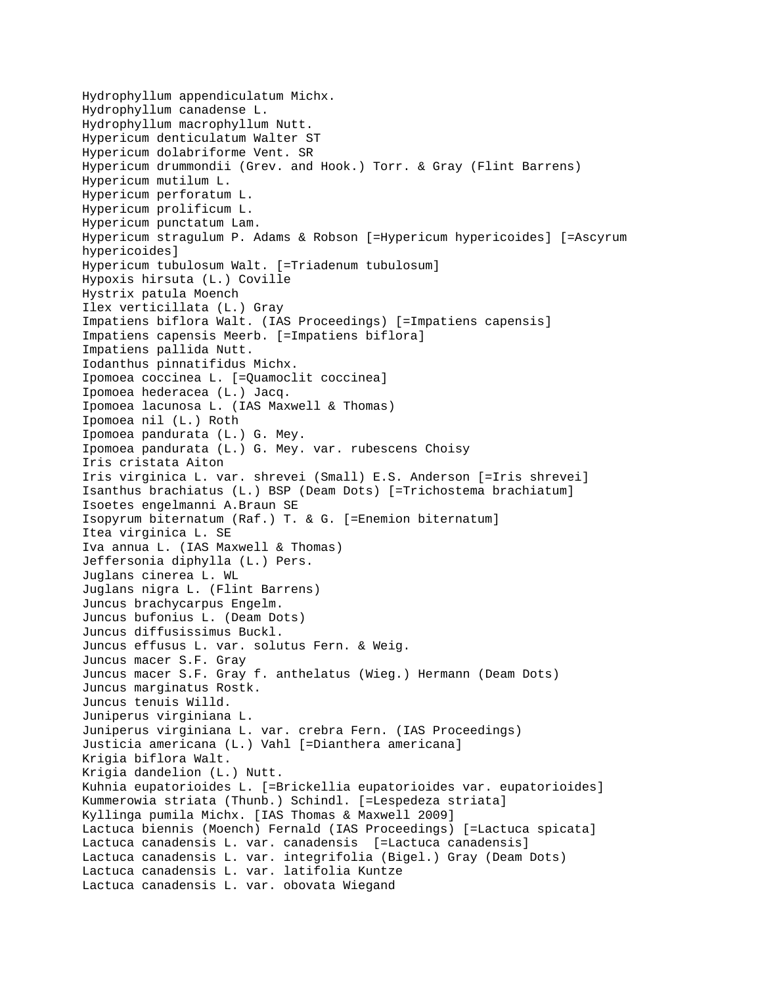```
Hydrophyllum appendiculatum Michx.
Hydrophyllum canadense L.
Hydrophyllum macrophyllum Nutt.
Hypericum denticulatum Walter ST 
Hypericum dolabriforme Vent. SR 
Hypericum drummondii (Grev. and Hook.) Torr. & Gray (Flint Barrens)
Hypericum mutilum L.
Hypericum perforatum L.
Hypericum prolificum L.
Hypericum punctatum Lam.
Hypericum stragulum P. Adams & Robson [=Hypericum hypericoides] [=Ascyrum 
hypericoides]
Hypericum tubulosum Walt. [=Triadenum tubulosum]
Hypoxis hirsuta (L.) Coville
Hystrix patula Moench
Ilex verticillata (L.) Gray
Impatiens biflora Walt. (IAS Proceedings) [=Impatiens capensis]
Impatiens capensis Meerb. [=Impatiens biflora]
Impatiens pallida Nutt.
Iodanthus pinnatifidus Michx.
Ipomoea coccinea L. [=Quamoclit coccinea]
Ipomoea hederacea (L.) Jacq.
Ipomoea lacunosa L. (IAS Maxwell & Thomas)
Ipomoea nil (L.) Roth
Ipomoea pandurata (L.) G. Mey.
Ipomoea pandurata (L.) G. Mey. var. rubescens Choisy
Iris cristata Aiton
Iris virginica L. var. shrevei (Small) E.S. Anderson [=Iris shrevei]
Isanthus brachiatus (L.) BSP (Deam Dots) [=Trichostema brachiatum]
Isoetes engelmanni A.Braun SE 
Isopyrum biternatum (Raf.) T. & G. [=Enemion biternatum]
Itea virginica L. SE 
Iva annua L. (IAS Maxwell & Thomas)
Jeffersonia diphylla (L.) Pers.
Juglans cinerea L. WL 
Juglans nigra L. (Flint Barrens)
Juncus brachycarpus Engelm.
Juncus bufonius L. (Deam Dots)
Juncus diffusissimus Buckl.
Juncus effusus L. var. solutus Fern. & Weig.
Juncus macer S.F. Gray
Juncus macer S.F. Gray f. anthelatus (Wieg.) Hermann (Deam Dots)
Juncus marginatus Rostk.
Juncus tenuis Willd.
Juniperus virginiana L.
Juniperus virginiana L. var. crebra Fern. (IAS Proceedings)
Justicia americana (L.) Vahl [=Dianthera americana]
Krigia biflora Walt.
Krigia dandelion (L.) Nutt.
Kuhnia eupatorioides L. [=Brickellia eupatorioides var. eupatorioides]
Kummerowia striata (Thunb.) Schindl. [=Lespedeza striata]
Kyllinga pumila Michx. [IAS Thomas & Maxwell 2009]
Lactuca biennis (Moench) Fernald (IAS Proceedings) [=Lactuca spicata]
Lactuca canadensis L. var. canadensis [=Lactuca canadensis]
Lactuca canadensis L. var. integrifolia (Bigel.) Gray (Deam Dots)
Lactuca canadensis L. var. latifolia Kuntze
Lactuca canadensis L. var. obovata Wiegand
```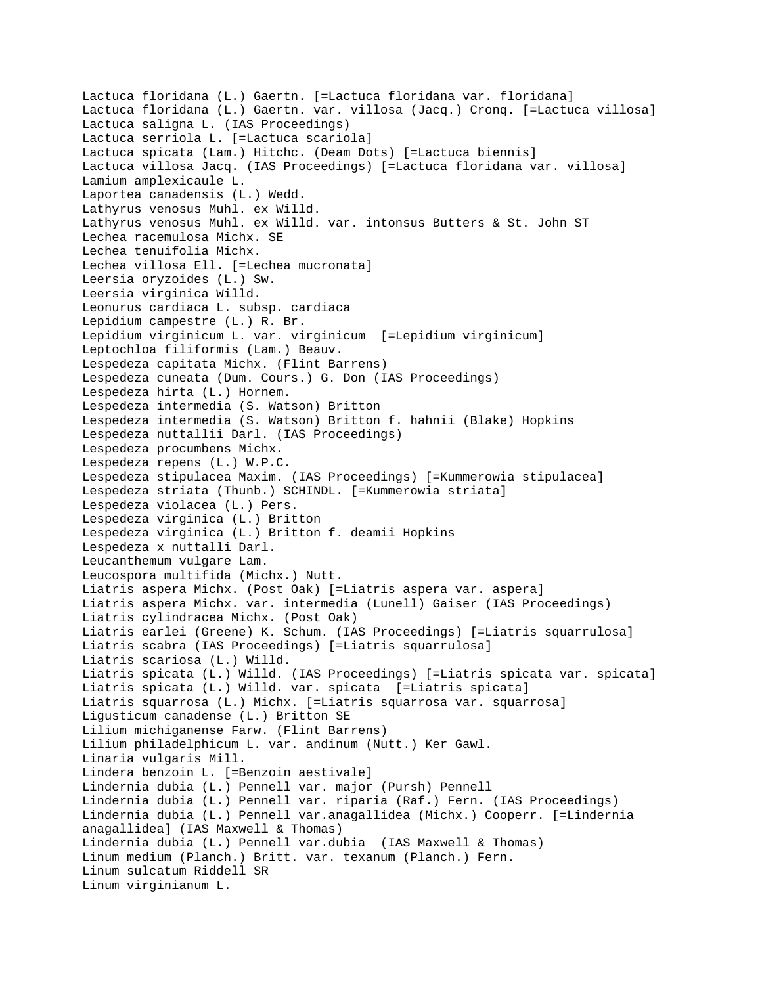Lactuca floridana (L.) Gaertn. [=Lactuca floridana var. floridana] Lactuca floridana (L.) Gaertn. var. villosa (Jacq.) Cronq. [=Lactuca villosa] Lactuca saligna L. (IAS Proceedings) Lactuca serriola L. [=Lactuca scariola] Lactuca spicata (Lam.) Hitchc. (Deam Dots) [=Lactuca biennis] Lactuca villosa Jacq. (IAS Proceedings) [=Lactuca floridana var. villosa] Lamium amplexicaule L. Laportea canadensis (L.) Wedd. Lathyrus venosus Muhl. ex Willd. Lathyrus venosus Muhl. ex Willd. var. intonsus Butters & St. John ST Lechea racemulosa Michx. SE Lechea tenuifolia Michx. Lechea villosa Ell. [=Lechea mucronata] Leersia oryzoides (L.) Sw. Leersia virginica Willd. Leonurus cardiaca L. subsp. cardiaca Lepidium campestre (L.) R. Br. Lepidium virginicum L. var. virginicum [=Lepidium virginicum] Leptochloa filiformis (Lam.) Beauv. Lespedeza capitata Michx. (Flint Barrens) Lespedeza cuneata (Dum. Cours.) G. Don (IAS Proceedings) Lespedeza hirta (L.) Hornem. Lespedeza intermedia (S. Watson) Britton Lespedeza intermedia (S. Watson) Britton f. hahnii (Blake) Hopkins Lespedeza nuttallii Darl. (IAS Proceedings) Lespedeza procumbens Michx. Lespedeza repens (L.) W.P.C. Lespedeza stipulacea Maxim. (IAS Proceedings) [=Kummerowia stipulacea] Lespedeza striata (Thunb.) SCHINDL. [=Kummerowia striata] Lespedeza violacea (L.) Pers. Lespedeza virginica (L.) Britton Lespedeza virginica (L.) Britton f. deamii Hopkins Lespedeza x nuttalli Darl. Leucanthemum vulgare Lam. Leucospora multifida (Michx.) Nutt. Liatris aspera Michx. (Post Oak) [=Liatris aspera var. aspera] Liatris aspera Michx. var. intermedia (Lunell) Gaiser (IAS Proceedings) Liatris cylindracea Michx. (Post Oak) Liatris earlei (Greene) K. Schum. (IAS Proceedings) [=Liatris squarrulosa] Liatris scabra (IAS Proceedings) [=Liatris squarrulosa] Liatris scariosa (L.) Willd. Liatris spicata (L.) Willd. (IAS Proceedings) [=Liatris spicata var. spicata] Liatris spicata (L.) Willd. var. spicata [=Liatris spicata] Liatris squarrosa (L.) Michx. [=Liatris squarrosa var. squarrosa] Ligusticum canadense (L.) Britton SE Lilium michiganense Farw. (Flint Barrens) Lilium philadelphicum L. var. andinum (Nutt.) Ker Gawl. Linaria vulgaris Mill. Lindera benzoin L. [=Benzoin aestivale] Lindernia dubia (L.) Pennell var. major (Pursh) Pennell Lindernia dubia (L.) Pennell var. riparia (Raf.) Fern. (IAS Proceedings) Lindernia dubia (L.) Pennell var.anagallidea (Michx.) Cooperr. [=Lindernia anagallidea] (IAS Maxwell & Thomas) Lindernia dubia (L.) Pennell var.dubia (IAS Maxwell & Thomas) Linum medium (Planch.) Britt. var. texanum (Planch.) Fern. Linum sulcatum Riddell SR Linum virginianum L.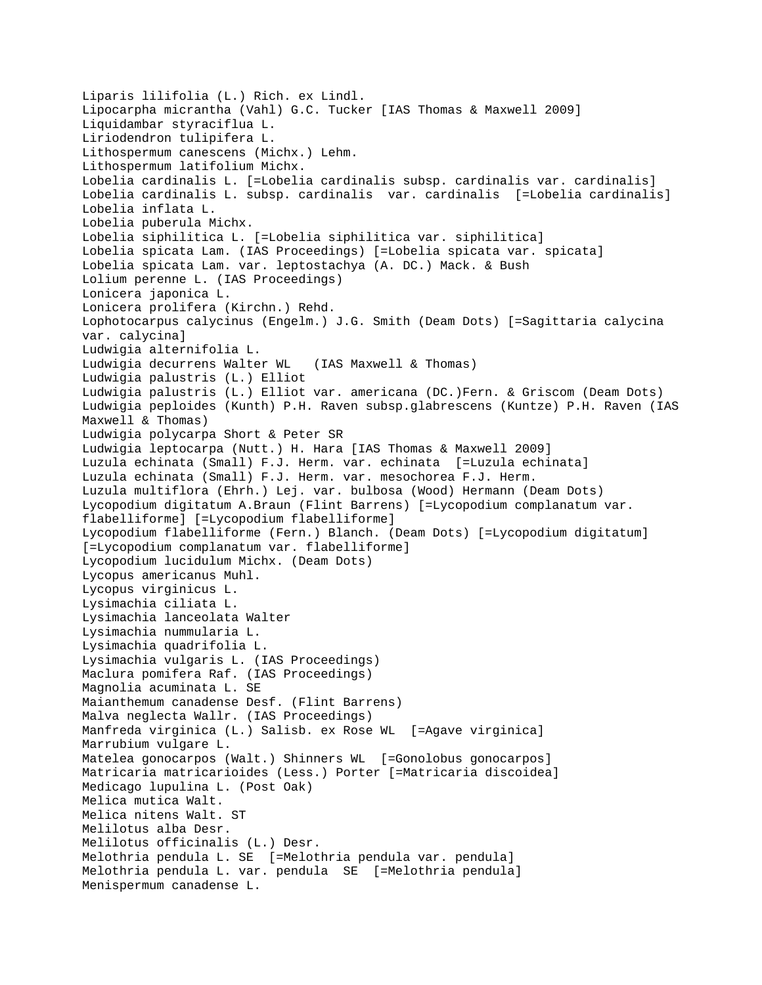```
Liparis lilifolia (L.) Rich. ex Lindl.
Lipocarpha micrantha (Vahl) G.C. Tucker [IAS Thomas & Maxwell 2009]
Liquidambar styraciflua L.
Liriodendron tulipifera L.
Lithospermum canescens (Michx.) Lehm.
Lithospermum latifolium Michx.
Lobelia cardinalis L. [=Lobelia cardinalis subsp. cardinalis var. cardinalis]
Lobelia cardinalis L. subsp. cardinalis var. cardinalis [=Lobelia cardinalis]
Lobelia inflata L.
Lobelia puberula Michx.
Lobelia siphilitica L. [=Lobelia siphilitica var. siphilitica]
Lobelia spicata Lam. (IAS Proceedings) [=Lobelia spicata var. spicata]
Lobelia spicata Lam. var. leptostachya (A. DC.) Mack. & Bush
Lolium perenne L. (IAS Proceedings)
Lonicera japonica L.
Lonicera prolifera (Kirchn.) Rehd.
Lophotocarpus calycinus (Engelm.) J.G. Smith (Deam Dots) [=Sagittaria calycina 
var. calycina]
Ludwigia alternifolia L.
Ludwigia decurrens Walter WL (IAS Maxwell & Thomas)
Ludwigia palustris (L.) Elliot
Ludwigia palustris (L.) Elliot var. americana (DC.)Fern. & Griscom (Deam Dots)
Ludwigia peploides (Kunth) P.H. Raven subsp.glabrescens (Kuntze) P.H. Raven (IAS 
Maxwell & Thomas)
Ludwigia polycarpa Short & Peter SR
Ludwigia leptocarpa (Nutt.) H. Hara [IAS Thomas & Maxwell 2009]
Luzula echinata (Small) F.J. Herm. var. echinata [=Luzula echinata]
Luzula echinata (Small) F.J. Herm. var. mesochorea F.J. Herm.
Luzula multiflora (Ehrh.) Lej. var. bulbosa (Wood) Hermann (Deam Dots)
Lycopodium digitatum A.Braun (Flint Barrens) [=Lycopodium complanatum var. 
flabelliforme] [=Lycopodium flabelliforme]
Lycopodium flabelliforme (Fern.) Blanch. (Deam Dots) [=Lycopodium digitatum] 
[=Lycopodium complanatum var. flabelliforme]
Lycopodium lucidulum Michx. (Deam Dots)
Lycopus americanus Muhl.
Lycopus virginicus L.
Lysimachia ciliata L.
Lysimachia lanceolata Walter
Lysimachia nummularia L.
Lysimachia quadrifolia L.
Lysimachia vulgaris L. (IAS Proceedings)
Maclura pomifera Raf. (IAS Proceedings)
Magnolia acuminata L. SE
Maianthemum canadense Desf. (Flint Barrens)
Malva neglecta Wallr. (IAS Proceedings)
Manfreda virginica (L.) Salisb. ex Rose WL [=Agave virginica]
Marrubium vulgare L.
Matelea gonocarpos (Walt.) Shinners WL [=Gonolobus gonocarpos]
Matricaria matricarioides (Less.) Porter [=Matricaria discoidea]
Medicago lupulina L. (Post Oak)
Melica mutica Walt.
Melica nitens Walt. ST
Melilotus alba Desr.
Melilotus officinalis (L.) Desr.
Melothria pendula L. SE [=Melothria pendula var. pendula]
Melothria pendula L. var. pendula SE [=Melothria pendula]
Menispermum canadense L.
```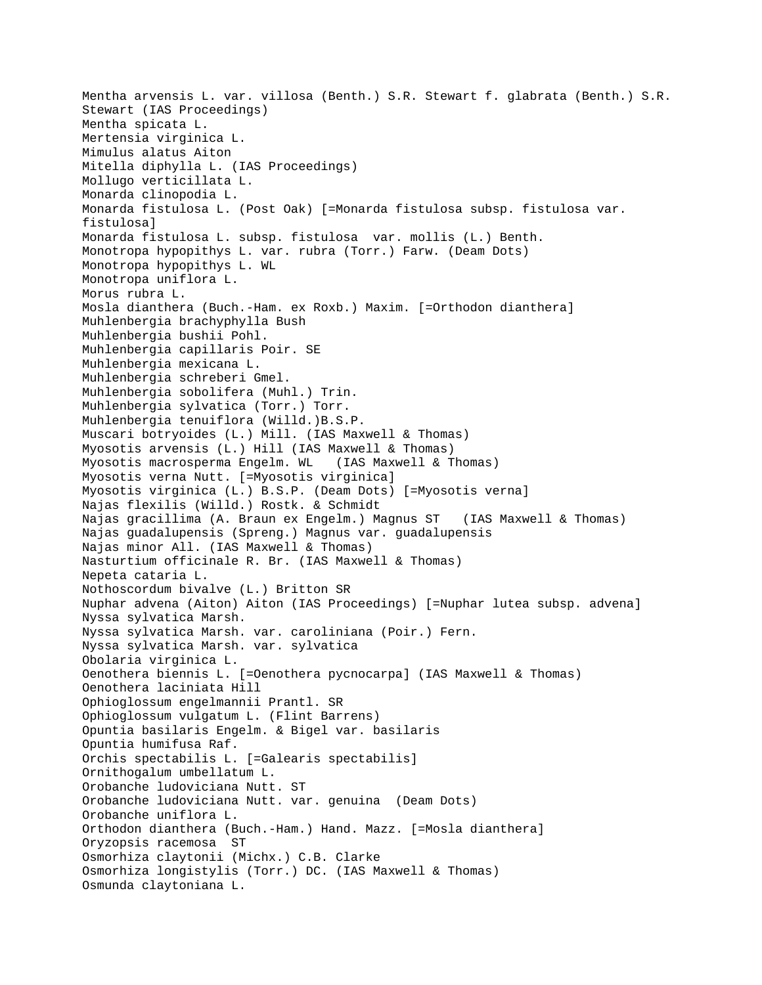Mentha arvensis L. var. villosa (Benth.) S.R. Stewart f. glabrata (Benth.) S.R. Stewart (IAS Proceedings) Mentha spicata L. Mertensia virginica L. Mimulus alatus Aiton Mitella diphylla L. (IAS Proceedings) Mollugo verticillata L. Monarda clinopodia L. Monarda fistulosa L. (Post Oak) [=Monarda fistulosa subsp. fistulosa var. fistulosa] Monarda fistulosa L. subsp. fistulosa var. mollis (L.) Benth. Monotropa hypopithys L. var. rubra (Torr.) Farw. (Deam Dots) Monotropa hypopithys L. WL Monotropa uniflora L. Morus rubra L. Mosla dianthera (Buch.-Ham. ex Roxb.) Maxim. [=Orthodon dianthera] Muhlenbergia brachyphylla Bush Muhlenbergia bushii Pohl. Muhlenbergia capillaris Poir. SE Muhlenbergia mexicana L. Muhlenbergia schreberi Gmel. Muhlenbergia sobolifera (Muhl.) Trin. Muhlenbergia sylvatica (Torr.) Torr. Muhlenbergia tenuiflora (Willd.)B.S.P. Muscari botryoides (L.) Mill. (IAS Maxwell & Thomas) Myosotis arvensis (L.) Hill (IAS Maxwell & Thomas) Myosotis macrosperma Engelm. WL Myosotis verna Nutt. [=Myosotis virginica] Myosotis virginica (L.) B.S.P. (Deam Dots) [=Myosotis verna] Najas flexilis (Willd.) Rostk. & Schmidt Najas gracillima (A. Braun ex Engelm.) Magnus ST (IAS Maxwell & Thomas) Najas guadalupensis (Spreng.) Magnus var. guadalupensis Najas minor All. (IAS Maxwell & Thomas) Nasturtium officinale R. Br. (IAS Maxwell & Thomas) Nepeta cataria L. Nothoscordum bivalve (L.) Britton SR Nuphar advena (Aiton) Aiton (IAS Proceedings) [=Nuphar lutea subsp. advena] Nyssa sylvatica Marsh. Nyssa sylvatica Marsh. var. caroliniana (Poir.) Fern. Nyssa sylvatica Marsh. var. sylvatica Obolaria virginica L. Oenothera biennis L. [=Oenothera pycnocarpa] (IAS Maxwell & Thomas) Oenothera laciniata Hill Ophioglossum engelmannii Prantl. SR Ophioglossum vulgatum L. (Flint Barrens) Opuntia basilaris Engelm. & Bigel var. basilaris Opuntia humifusa Raf. Orchis spectabilis L. [=Galearis spectabilis] Ornithogalum umbellatum L. Orobanche ludoviciana Nutt. ST Orobanche ludoviciana Nutt. var. genuina (Deam Dots) Orobanche uniflora L. Orthodon dianthera (Buch.-Ham.) Hand. Mazz. [=Mosla dianthera] Oryzopsis racemosa ST Osmorhiza claytonii (Michx.) C.B. Clarke Osmorhiza longistylis (Torr.) DC. (IAS Maxwell & Thomas) Osmunda claytoniana L.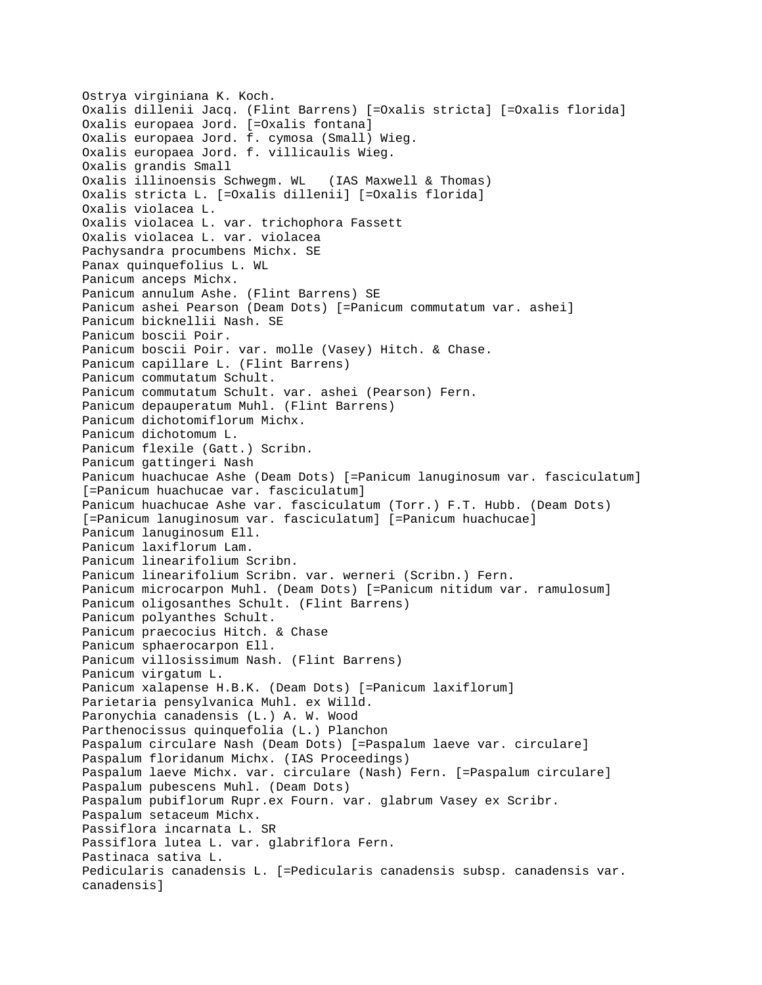```
Ostrya virginiana K. Koch.
Oxalis dillenii Jacq. (Flint Barrens) [=Oxalis stricta] [=Oxalis florida]
Oxalis europaea Jord. [=Oxalis fontana]
Oxalis europaea Jord. f. cymosa (Small) Wieg.
Oxalis europaea Jord. f. villicaulis Wieg.
Oxalis grandis Small
Oxalis illinoensis Schwegm. WL (IAS Maxwell & Thomas)
Oxalis stricta L. [=Oxalis dillenii] [=Oxalis florida]
Oxalis violacea L.
Oxalis violacea L. var. trichophora Fassett
Oxalis violacea L. var. violacea 
Pachysandra procumbens Michx. SE
Panax quinquefolius L. WL 
Panicum anceps Michx.
Panicum annulum Ashe. (Flint Barrens) SE
Panicum ashei Pearson (Deam Dots) [=Panicum commutatum var. ashei]
Panicum bicknellii Nash. SE
Panicum boscii Poir.
Panicum boscii Poir. var. molle (Vasey) Hitch. & Chase.
Panicum capillare L. (Flint Barrens)
Panicum commutatum Schult.
Panicum commutatum Schult. var. ashei (Pearson) Fern.
Panicum depauperatum Muhl. (Flint Barrens)
Panicum dichotomiflorum Michx.
Panicum dichotomum L.
Panicum flexile (Gatt.) Scribn.
Panicum gattingeri Nash
Panicum huachucae Ashe (Deam Dots) [=Panicum lanuginosum var. fasciculatum] 
[=Panicum huachucae var. fasciculatum]
Panicum huachucae Ashe var. fasciculatum (Torr.) F.T. Hubb. (Deam Dots) 
[=Panicum lanuginosum var. fasciculatum] [=Panicum huachucae]
Panicum lanuginosum Ell.
Panicum laxiflorum Lam.
Panicum linearifolium Scribn.
Panicum linearifolium Scribn. var. werneri (Scribn.) Fern.
Panicum microcarpon Muhl. (Deam Dots) [=Panicum nitidum var. ramulosum]
Panicum oligosanthes Schult. (Flint Barrens)
Panicum polyanthes Schult.
Panicum praecocius Hitch. & Chase
Panicum sphaerocarpon Ell.
Panicum villosissimum Nash. (Flint Barrens)
Panicum virgatum L.
Panicum xalapense H.B.K. (Deam Dots) [=Panicum laxiflorum]
Parietaria pensylvanica Muhl. ex Willd.
Paronychia canadensis (L.) A. W. Wood
Parthenocissus quinquefolia (L.) Planchon
Paspalum circulare Nash (Deam Dots) [=Paspalum laeve var. circulare]
Paspalum floridanum Michx. (IAS Proceedings)
Paspalum laeve Michx. var. circulare (Nash) Fern. [=Paspalum circulare]
Paspalum pubescens Muhl. (Deam Dots)
Paspalum pubiflorum Rupr.ex Fourn. var. glabrum Vasey ex Scribr.
Paspalum setaceum Michx.
Passiflora incarnata L. SR
Passiflora lutea L. var. glabriflora Fern.
Pastinaca sativa L.
Pedicularis canadensis L. [=Pedicularis canadensis subsp. canadensis var. 
canadensis]
```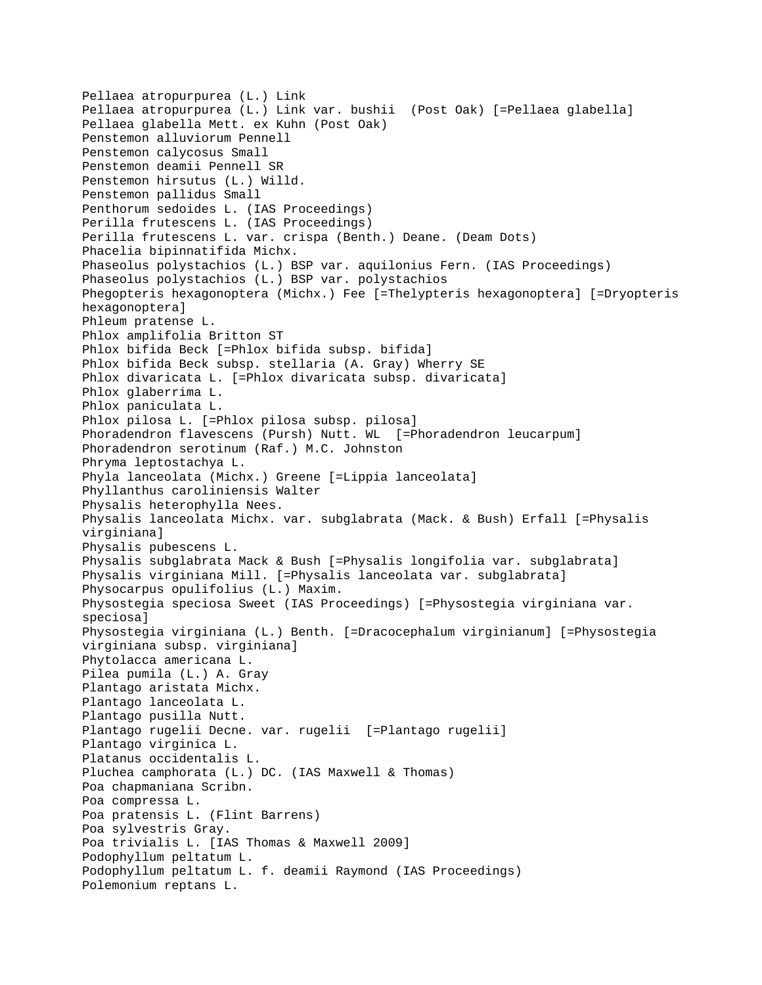```
Pellaea atropurpurea (L.) Link
Pellaea atropurpurea (L.) Link var. bushii (Post Oak) [=Pellaea glabella]
Pellaea glabella Mett. ex Kuhn (Post Oak)
Penstemon alluviorum Pennell
Penstemon calycosus Small
Penstemon deamii Pennell SR
Penstemon hirsutus (L.) Willd.
Penstemon pallidus Small
Penthorum sedoides L. (IAS Proceedings)
Perilla frutescens L. (IAS Proceedings)
Perilla frutescens L. var. crispa (Benth.) Deane. (Deam Dots)
Phacelia bipinnatifida Michx.
Phaseolus polystachios (L.) BSP var. aquilonius Fern. (IAS Proceedings)
Phaseolus polystachios (L.) BSP var. polystachios
Phegopteris hexagonoptera (Michx.) Fee [=Thelypteris hexagonoptera] [=Dryopteris 
hexagonoptera]
Phleum pratense L.
Phlox amplifolia Britton ST
Phlox bifida Beck [=Phlox bifida subsp. bifida]
Phlox bifida Beck subsp. stellaria (A. Gray) Wherry SE
Phlox divaricata L. [=Phlox divaricata subsp. divaricata]
Phlox glaberrima L.
Phlox paniculata L.
Phlox pilosa L. [=Phlox pilosa subsp. pilosa]
Phoradendron flavescens (Pursh) Nutt. WL [=Phoradendron leucarpum]
Phoradendron serotinum (Raf.) M.C. Johnston
Phryma leptostachya L.
Phyla lanceolata (Michx.) Greene [=Lippia lanceolata]
Phyllanthus caroliniensis Walter
Physalis heterophylla Nees.
Physalis lanceolata Michx. var. subglabrata (Mack. & Bush) Erfall [=Physalis 
virginiana]
Physalis pubescens L.
Physalis subglabrata Mack & Bush [=Physalis longifolia var. subglabrata]
Physalis virginiana Mill. [=Physalis lanceolata var. subglabrata]
Physocarpus opulifolius (L.) Maxim.
Physostegia speciosa Sweet (IAS Proceedings) [=Physostegia virginiana var. 
speciosa]
Physostegia virginiana (L.) Benth. [=Dracocephalum virginianum] [=Physostegia 
virginiana subsp. virginiana]
Phytolacca americana L.
Pilea pumila (L.) A. Gray
Plantago aristata Michx.
Plantago lanceolata L.
Plantago pusilla Nutt.
Plantago rugelii Decne. var. rugelii [=Plantago rugelii]
Plantago virginica L.
Platanus occidentalis L.
Pluchea camphorata (L.) DC. (IAS Maxwell & Thomas)
Poa chapmaniana Scribn.
Poa compressa L.
Poa pratensis L. (Flint Barrens)
Poa sylvestris Gray.
Poa trivialis L. [IAS Thomas & Maxwell 2009]
Podophyllum peltatum L.
Podophyllum peltatum L. f. deamii Raymond (IAS Proceedings)
Polemonium reptans L.
```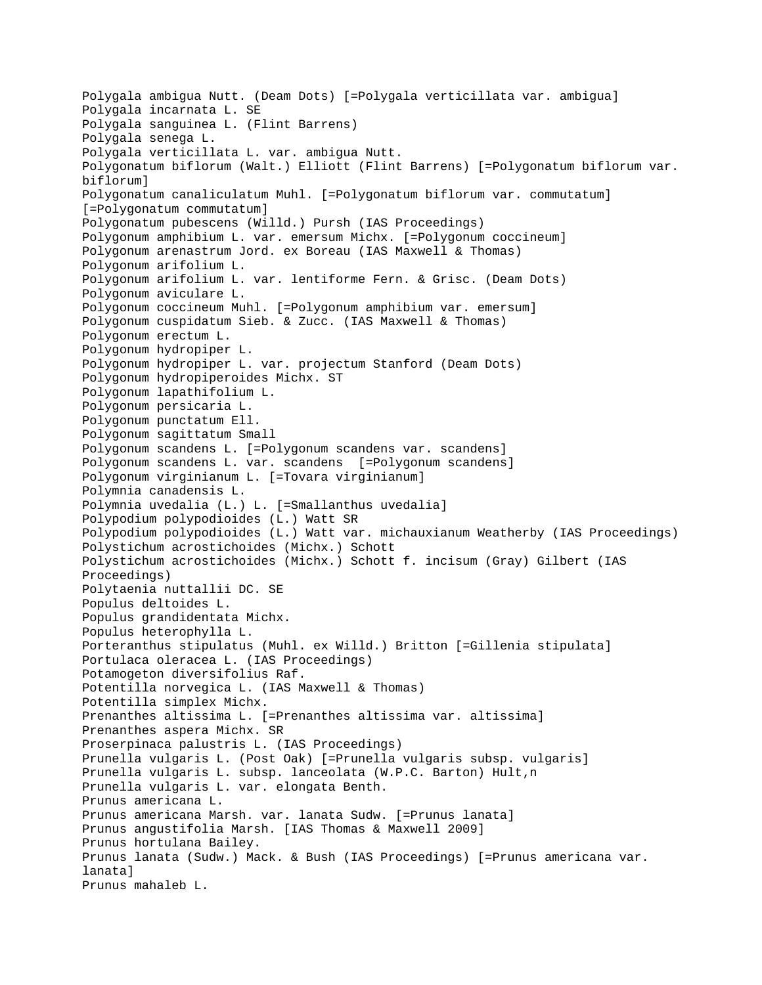Polygala ambigua Nutt. (Deam Dots) [=Polygala verticillata var. ambigua] Polygala incarnata L. SE Polygala sanguinea L. (Flint Barrens) Polygala senega L. Polygala verticillata L. var. ambigua Nutt. Polygonatum biflorum (Walt.) Elliott (Flint Barrens) [=Polygonatum biflorum var. biflorum] Polygonatum canaliculatum Muhl. [=Polygonatum biflorum var. commutatum] [=Polygonatum commutatum] Polygonatum pubescens (Willd.) Pursh (IAS Proceedings) Polygonum amphibium L. var. emersum Michx. [=Polygonum coccineum] Polygonum arenastrum Jord. ex Boreau (IAS Maxwell & Thomas) Polygonum arifolium L. Polygonum arifolium L. var. lentiforme Fern. & Grisc. (Deam Dots) Polygonum aviculare L. Polygonum coccineum Muhl. [=Polygonum amphibium var. emersum] Polygonum cuspidatum Sieb. & Zucc. (IAS Maxwell & Thomas) Polygonum erectum L. Polygonum hydropiper L. Polygonum hydropiper L. var. projectum Stanford (Deam Dots) Polygonum hydropiperoides Michx. ST Polygonum lapathifolium L. Polygonum persicaria L. Polygonum punctatum Ell. Polygonum sagittatum Small Polygonum scandens L. [=Polygonum scandens var. scandens] Polygonum scandens L. var. scandens [=Polygonum scandens] Polygonum virginianum L. [=Tovara virginianum] Polymnia canadensis L. Polymnia uvedalia (L.) L. [=Smallanthus uvedalia] Polypodium polypodioides (L.) Watt SR Polypodium polypodioides (L.) Watt var. michauxianum Weatherby (IAS Proceedings) Polystichum acrostichoides (Michx.) Schott Polystichum acrostichoides (Michx.) Schott f. incisum (Gray) Gilbert (IAS Proceedings) Polytaenia nuttallii DC. SE Populus deltoides L. Populus grandidentata Michx. Populus heterophylla L. Porteranthus stipulatus (Muhl. ex Willd.) Britton [=Gillenia stipulata] Portulaca oleracea L. (IAS Proceedings) Potamogeton diversifolius Raf. Potentilla norvegica L. (IAS Maxwell & Thomas) Potentilla simplex Michx. Prenanthes altissima L. [=Prenanthes altissima var. altissima] Prenanthes aspera Michx. SR Proserpinaca palustris L. (IAS Proceedings) Prunella vulgaris L. (Post Oak) [=Prunella vulgaris subsp. vulgaris] Prunella vulgaris L. subsp. lanceolata (W.P.C. Barton) Hult, n Prunella vulgaris L. var. elongata Benth. Prunus americana L. Prunus americana Marsh. var. lanata Sudw. [=Prunus lanata] Prunus angustifolia Marsh. [IAS Thomas & Maxwell 2009] Prunus hortulana Bailey. Prunus lanata (Sudw.) Mack. & Bush (IAS Proceedings) [=Prunus americana var. lanata] Prunus mahaleb L.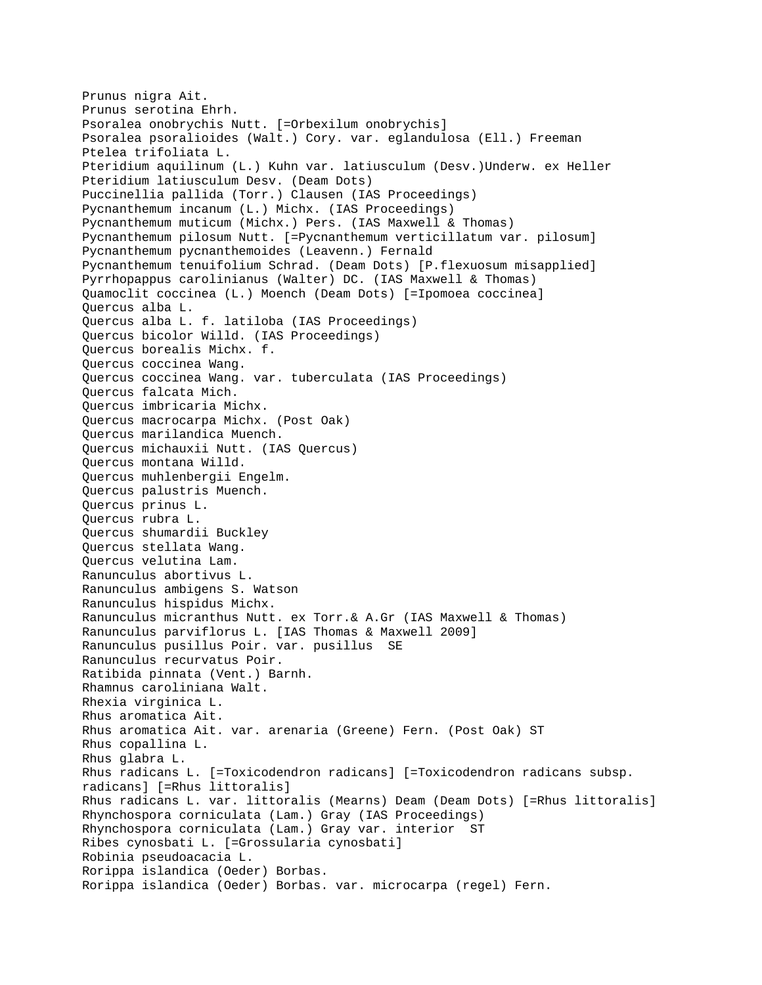```
Prunus nigra Ait.
Prunus serotina Ehrh.
Psoralea onobrychis Nutt. [=Orbexilum onobrychis]
Psoralea psoralioides (Walt.) Cory. var. eglandulosa (Ell.) Freeman
Ptelea trifoliata L.
Pteridium aquilinum (L.) Kuhn var. latiusculum (Desv.)Underw. ex Heller
Pteridium latiusculum Desv. (Deam Dots)
Puccinellia pallida (Torr.) Clausen (IAS Proceedings)
Pycnanthemum incanum (L.) Michx. (IAS Proceedings)
Pycnanthemum muticum (Michx.) Pers. (IAS Maxwell & Thomas)
Pycnanthemum pilosum Nutt. [=Pycnanthemum verticillatum var. pilosum]
Pycnanthemum pycnanthemoides (Leavenn.) Fernald
Pycnanthemum tenuifolium Schrad. (Deam Dots) [P.flexuosum misapplied]
Pyrrhopappus carolinianus (Walter) DC. (IAS Maxwell & Thomas)
Quamoclit coccinea (L.) Moench (Deam Dots) [=Ipomoea coccinea]
Quercus alba L.
Quercus alba L. f. latiloba (IAS Proceedings)
Quercus bicolor Willd. (IAS Proceedings)
Quercus borealis Michx. f.
Quercus coccinea Wang.
Quercus coccinea Wang. var. tuberculata (IAS Proceedings)
Quercus falcata Mich.
Quercus imbricaria Michx.
Quercus macrocarpa Michx. (Post Oak)
Quercus marilandica Muench.
Quercus michauxii Nutt. (IAS Quercus)
Quercus montana Willd.
Quercus muhlenbergii Engelm.
Quercus palustris Muench.
Quercus prinus L.
Quercus rubra L.
Quercus shumardii Buckley
Quercus stellata Wang.
Quercus velutina Lam.
Ranunculus abortivus L.
Ranunculus ambigens S. Watson
Ranunculus hispidus Michx.
Ranunculus micranthus Nutt. ex Torr.& A.Gr (IAS Maxwell & Thomas)
Ranunculus parviflorus L. [IAS Thomas & Maxwell 2009]
Ranunculus pusillus Poir. var. pusillus SE 
Ranunculus recurvatus Poir.
Ratibida pinnata (Vent.) Barnh.
Rhamnus caroliniana Walt.
Rhexia virginica L.
Rhus aromatica Ait.
Rhus aromatica Ait. var. arenaria (Greene) Fern. (Post Oak) ST
Rhus copallina L.
Rhus glabra L.
Rhus radicans L. [=Toxicodendron radicans] [=Toxicodendron radicans subsp. 
radicans] [=Rhus littoralis]
Rhus radicans L. var. littoralis (Mearns) Deam (Deam Dots) [=Rhus littoralis]
Rhynchospora corniculata (Lam.) Gray (IAS Proceedings)
Rhynchospora corniculata (Lam.) Gray var. interior ST
Ribes cynosbati L. [=Grossularia cynosbati]
Robinia pseudoacacia L.
Rorippa islandica (Oeder) Borbas.
Rorippa islandica (Oeder) Borbas. var. microcarpa (regel) Fern.
```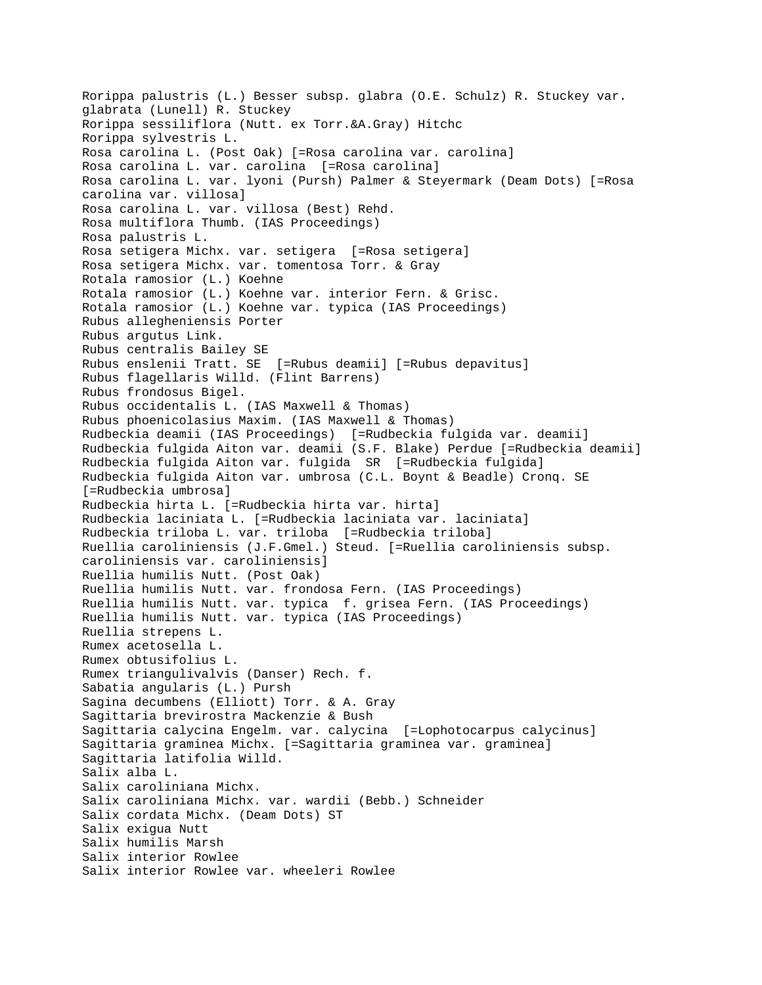```
Rorippa palustris (L.) Besser subsp. glabra (O.E. Schulz) R. Stuckey var. 
glabrata (Lunell) R. Stuckey
Rorippa sessiliflora (Nutt. ex Torr.&A.Gray) Hitchc
Rorippa sylvestris L.
Rosa carolina L. (Post Oak) [=Rosa carolina var. carolina]
Rosa carolina L. var. carolina [=Rosa carolina]
Rosa carolina L. var. lyoni (Pursh) Palmer & Steyermark (Deam Dots) [=Rosa 
carolina var. villosa]
Rosa carolina L. var. villosa (Best) Rehd.
Rosa multiflora Thumb. (IAS Proceedings)
Rosa palustris L.
Rosa setigera Michx. var. setigera [=Rosa setigera]
Rosa setigera Michx. var. tomentosa Torr. & Gray
Rotala ramosior (L.) Koehne
Rotala ramosior (L.) Koehne var. interior Fern. & Grisc.
Rotala ramosior (L.) Koehne var. typica (IAS Proceedings)
Rubus allegheniensis Porter
Rubus argutus Link.
Rubus centralis Bailey SE
Rubus enslenii Tratt. SE [=Rubus deamii] [=Rubus depavitus]
Rubus flagellaris Willd. (Flint Barrens)
Rubus frondosus Bigel.
Rubus occidentalis L. (IAS Maxwell & Thomas)
Rubus phoenicolasius Maxim. (IAS Maxwell & Thomas)
Rudbeckia deamii (IAS Proceedings) [=Rudbeckia fulgida var. deamii]
Rudbeckia fulgida Aiton var. deamii (S.F. Blake) Perdue [=Rudbeckia deamii]
Rudbeckia fulgida Aiton var. fulgida SR [=Rudbeckia fulgida]
Rudbeckia fulgida Aiton var. umbrosa (C.L. Boynt & Beadle) Cronq. SE 
[=Rudbeckia umbrosa]
Rudbeckia hirta L. [=Rudbeckia hirta var. hirta]
Rudbeckia laciniata L. [=Rudbeckia laciniata var. laciniata]
Rudbeckia triloba L. var. triloba [=Rudbeckia triloba]
Ruellia caroliniensis (J.F.Gmel.) Steud. [=Ruellia caroliniensis subsp. 
caroliniensis var. caroliniensis]
Ruellia humilis Nutt. (Post Oak)
Ruellia humilis Nutt. var. frondosa Fern. (IAS Proceedings)
Ruellia humilis Nutt. var. typica f. grisea Fern. (IAS Proceedings)
Ruellia humilis Nutt. var. typica (IAS Proceedings)
Ruellia strepens L.
Rumex acetosella L.
Rumex obtusifolius L.
Rumex triangulivalvis (Danser) Rech. f.
Sabatia angularis (L.) Pursh
Sagina decumbens (Elliott) Torr. & A. Gray
Sagittaria brevirostra Mackenzie & Bush
Sagittaria calycina Engelm. var. calycina [=Lophotocarpus calycinus]
Sagittaria graminea Michx. [=Sagittaria graminea var. graminea]
Sagittaria latifolia Willd.
Salix alba L.
Salix caroliniana Michx.
Salix caroliniana Michx. var. wardii (Bebb.) Schneider
Salix cordata Michx. (Deam Dots) ST
Salix exigua Nutt
Salix humilis Marsh
Salix interior Rowlee
Salix interior Rowlee var. wheeleri Rowlee
```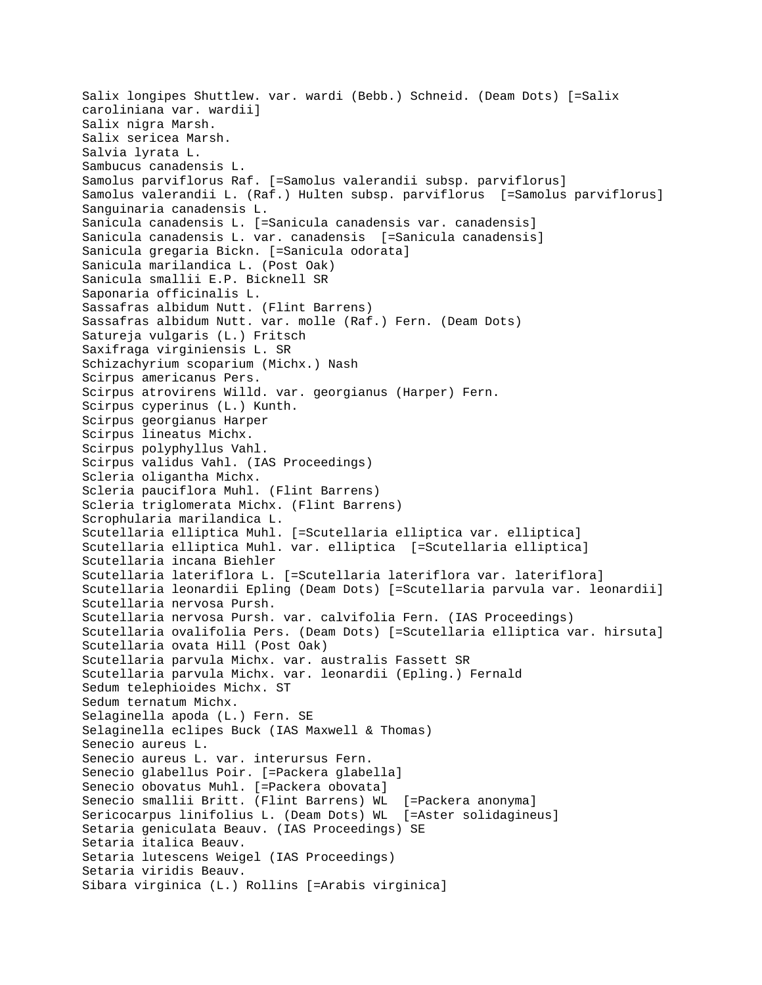Salix longipes Shuttlew. var. wardi (Bebb.) Schneid. (Deam Dots) [=Salix caroliniana var. wardii] Salix nigra Marsh. Salix sericea Marsh. Salvia lyrata L. Sambucus canadensis L. Samolus parviflorus Raf. [=Samolus valerandii subsp. parviflorus] Samolus valerandii L. (Raf.) Hulten subsp. parviflorus [=Samolus parviflorus] Sanguinaria canadensis L. Sanicula canadensis L. [=Sanicula canadensis var. canadensis] Sanicula canadensis L. var. canadensis [=Sanicula canadensis] Sanicula gregaria Bickn. [=Sanicula odorata] Sanicula marilandica L. (Post Oak) Sanicula smallii E.P. Bicknell SR Saponaria officinalis L. Sassafras albidum Nutt. (Flint Barrens) Sassafras albidum Nutt. var. molle (Raf.) Fern. (Deam Dots) Satureja vulgaris (L.) Fritsch Saxifraga virginiensis L. SR Schizachyrium scoparium (Michx.) Nash Scirpus americanus Pers. Scirpus atrovirens Willd. var. georgianus (Harper) Fern. Scirpus cyperinus (L.) Kunth. Scirpus georgianus Harper Scirpus lineatus Michx. Scirpus polyphyllus Vahl. Scirpus validus Vahl. (IAS Proceedings) Scleria oligantha Michx. Scleria pauciflora Muhl. (Flint Barrens) Scleria triglomerata Michx. (Flint Barrens) Scrophularia marilandica L. Scutellaria elliptica Muhl. [=Scutellaria elliptica var. elliptica] Scutellaria elliptica Muhl. var. elliptica [=Scutellaria elliptica] Scutellaria incana Biehler Scutellaria lateriflora L. [=Scutellaria lateriflora var. lateriflora] Scutellaria leonardii Epling (Deam Dots) [=Scutellaria parvula var. leonardii] Scutellaria nervosa Pursh. Scutellaria nervosa Pursh. var. calvifolia Fern. (IAS Proceedings) Scutellaria ovalifolia Pers. (Deam Dots) [=Scutellaria elliptica var. hirsuta] Scutellaria ovata Hill (Post Oak) Scutellaria parvula Michx. var. australis Fassett SR Scutellaria parvula Michx. var. leonardii (Epling.) Fernald Sedum telephioides Michx. ST Sedum ternatum Michx. Selaginella apoda (L.) Fern. SE Selaginella eclipes Buck (IAS Maxwell & Thomas) Senecio aureus L. Senecio aureus L. var. interursus Fern. Senecio glabellus Poir. [=Packera glabella] Senecio obovatus Muhl. [=Packera obovata] Senecio smallii Britt. (Flint Barrens) WL [=Packera anonyma] Sericocarpus linifolius L. (Deam Dots) WL [=Aster solidagineus] Setaria geniculata Beauv. (IAS Proceedings) SE Setaria italica Beauv. Setaria lutescens Weigel (IAS Proceedings) Setaria viridis Beauv. Sibara virginica (L.) Rollins [=Arabis virginica]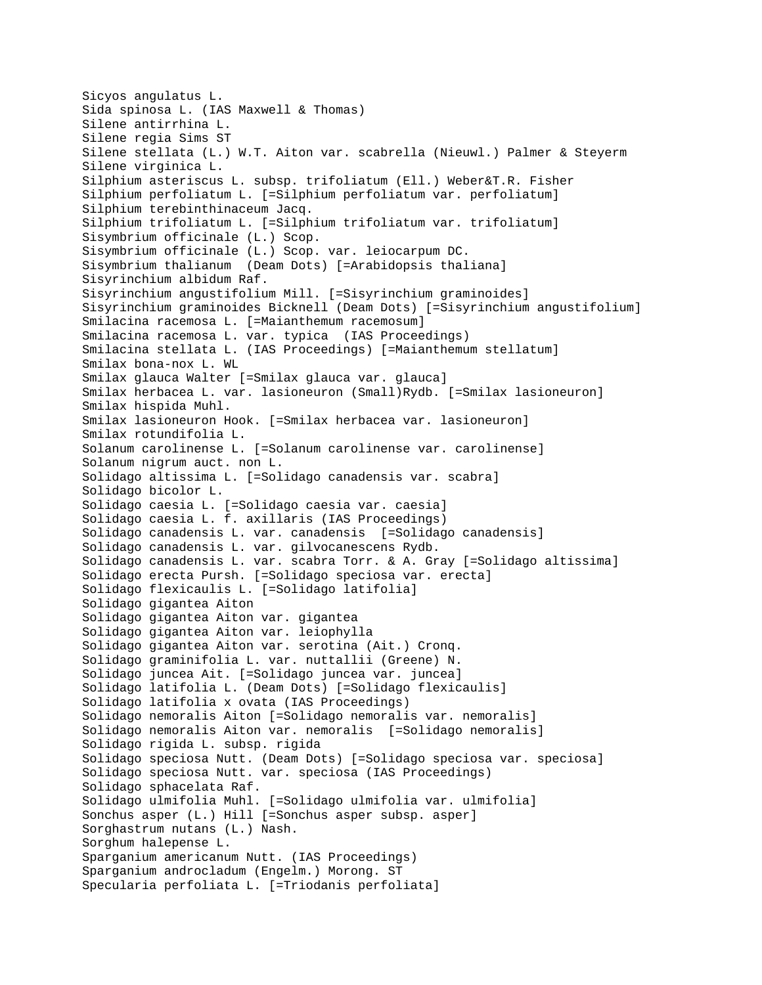```
Sicyos angulatus L.
Sida spinosa L. (IAS Maxwell & Thomas)
Silene antirrhina L.
Silene regia Sims ST
Silene stellata (L.) W.T. Aiton var. scabrella (Nieuwl.) Palmer & Steyerm
Silene virginica L.
Silphium asteriscus L. subsp. trifoliatum (Ell.) Weber&T.R. Fisher
Silphium perfoliatum L. [=Silphium perfoliatum var. perfoliatum]
Silphium terebinthinaceum Jacq.
Silphium trifoliatum L. [=Silphium trifoliatum var. trifoliatum]
Sisymbrium officinale (L.) Scop.
Sisymbrium officinale (L.) Scop. var. leiocarpum DC.
Sisymbrium thalianum (Deam Dots) [=Arabidopsis thaliana]
Sisyrinchium albidum Raf.
Sisyrinchium angustifolium Mill. [=Sisyrinchium graminoides]
Sisyrinchium graminoides Bicknell (Deam Dots) [=Sisyrinchium angustifolium]
Smilacina racemosa L. [=Maianthemum racemosum]
Smilacina racemosa L. var. typica (IAS Proceedings)
Smilacina stellata L. (IAS Proceedings) [=Maianthemum stellatum]
Smilax bona-nox L. WL
Smilax glauca Walter [=Smilax glauca var. glauca]
Smilax herbacea L. var. lasioneuron (Small)Rydb. [=Smilax lasioneuron]
Smilax hispida Muhl.
Smilax lasioneuron Hook. [=Smilax herbacea var. lasioneuron]
Smilax rotundifolia L.
Solanum carolinense L. [=Solanum carolinense var. carolinense]
Solanum nigrum auct. non L.
Solidago altissima L. [=Solidago canadensis var. scabra]
Solidago bicolor L.
Solidago caesia L. [=Solidago caesia var. caesia]
Solidago caesia L. f. axillaris (IAS Proceedings)
Solidago canadensis L. var. canadensis [=Solidago canadensis]
Solidago canadensis L. var. gilvocanescens Rydb.
Solidago canadensis L. var. scabra Torr. & A. Gray [=Solidago altissima]
Solidago erecta Pursh. [=Solidago speciosa var. erecta]
Solidago flexicaulis L. [=Solidago latifolia]
Solidago gigantea Aiton
Solidago gigantea Aiton var. gigantea
Solidago gigantea Aiton var. leiophylla
Solidago gigantea Aiton var. serotina (Ait.) Cronq.
Solidago graminifolia L. var. nuttallii (Greene) N.
Solidago juncea Ait. [=Solidago juncea var. juncea]
Solidago latifolia L. (Deam Dots) [=Solidago flexicaulis]
Solidago latifolia x ovata (IAS Proceedings)
Solidago nemoralis Aiton [=Solidago nemoralis var. nemoralis]
Solidago nemoralis Aiton var. nemoralis [=Solidago nemoralis]
Solidago rigida L. subsp. rigida
Solidago speciosa Nutt. (Deam Dots) [=Solidago speciosa var. speciosa]
Solidago speciosa Nutt. var. speciosa (IAS Proceedings)
Solidago sphacelata Raf.
Solidago ulmifolia Muhl. [=Solidago ulmifolia var. ulmifolia]
Sonchus asper (L.) Hill [=Sonchus asper subsp. asper]
Sorghastrum nutans (L.) Nash.
Sorghum halepense L.
Sparganium americanum Nutt. (IAS Proceedings)
Sparganium androcladum (Engelm.) Morong. ST
Specularia perfoliata L. [=Triodanis perfoliata]
```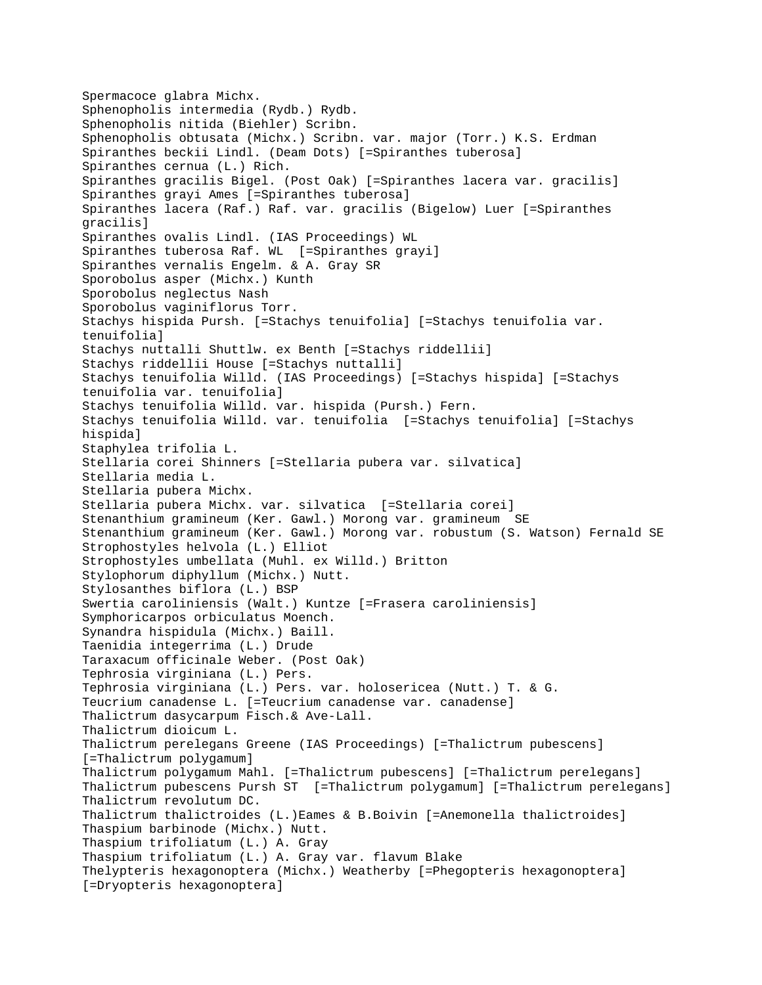Spermacoce glabra Michx. Sphenopholis intermedia (Rydb.) Rydb. Sphenopholis nitida (Biehler) Scribn. Sphenopholis obtusata (Michx.) Scribn. var. major (Torr.) K.S. Erdman Spiranthes beckii Lindl. (Deam Dots) [=Spiranthes tuberosa] Spiranthes cernua (L.) Rich. Spiranthes gracilis Bigel. (Post Oak) [=Spiranthes lacera var. gracilis] Spiranthes grayi Ames [=Spiranthes tuberosa] Spiranthes lacera (Raf.) Raf. var. gracilis (Bigelow) Luer [=Spiranthes gracilis] Spiranthes ovalis Lindl. (IAS Proceedings) WL Spiranthes tuberosa Raf. WL [=Spiranthes grayi] Spiranthes vernalis Engelm. & A. Gray SR Sporobolus asper (Michx.) Kunth Sporobolus neglectus Nash Sporobolus vaginiflorus Torr. Stachys hispida Pursh. [=Stachys tenuifolia] [=Stachys tenuifolia var. tenuifolia] Stachys nuttalli Shuttlw. ex Benth [=Stachys riddellii] Stachys riddellii House [=Stachys nuttalli] Stachys tenuifolia Willd. (IAS Proceedings) [=Stachys hispida] [=Stachys tenuifolia var. tenuifolia] Stachys tenuifolia Willd. var. hispida (Pursh.) Fern. Stachys tenuifolia Willd. var. tenuifolia [=Stachys tenuifolia] [=Stachys hispida] Staphylea trifolia L. Stellaria corei Shinners [=Stellaria pubera var. silvatica] Stellaria media L. Stellaria pubera Michx. Stellaria pubera Michx. var. silvatica [=Stellaria corei] Stenanthium gramineum (Ker. Gawl.) Morong var. gramineum SE Stenanthium gramineum (Ker. Gawl.) Morong var. robustum (S. Watson) Fernald SE Strophostyles helvola (L.) Elliot Strophostyles umbellata (Muhl. ex Willd.) Britton Stylophorum diphyllum (Michx.) Nutt. Stylosanthes biflora (L.) BSP Swertia caroliniensis (Walt.) Kuntze [=Frasera caroliniensis] Symphoricarpos orbiculatus Moench. Synandra hispidula (Michx.) Baill. Taenidia integerrima (L.) Drude Taraxacum officinale Weber. (Post Oak) Tephrosia virginiana (L.) Pers. Tephrosia virginiana (L.) Pers. var. holosericea (Nutt.) T. & G. Teucrium canadense L. [=Teucrium canadense var. canadense] Thalictrum dasycarpum Fisch.& Ave-Lall. Thalictrum dioicum L. Thalictrum perelegans Greene (IAS Proceedings) [=Thalictrum pubescens] [=Thalictrum polygamum] Thalictrum polygamum Mahl. [=Thalictrum pubescens] [=Thalictrum perelegans] Thalictrum pubescens Pursh ST [=Thalictrum polygamum] [=Thalictrum perelegans] Thalictrum revolutum DC. Thalictrum thalictroides (L.)Eames & B.Boivin [=Anemonella thalictroides] Thaspium barbinode (Michx.) Nutt. Thaspium trifoliatum (L.) A. Gray Thaspium trifoliatum (L.) A. Gray var. flavum Blake Thelypteris hexagonoptera (Michx.) Weatherby [=Phegopteris hexagonoptera] [=Dryopteris hexagonoptera]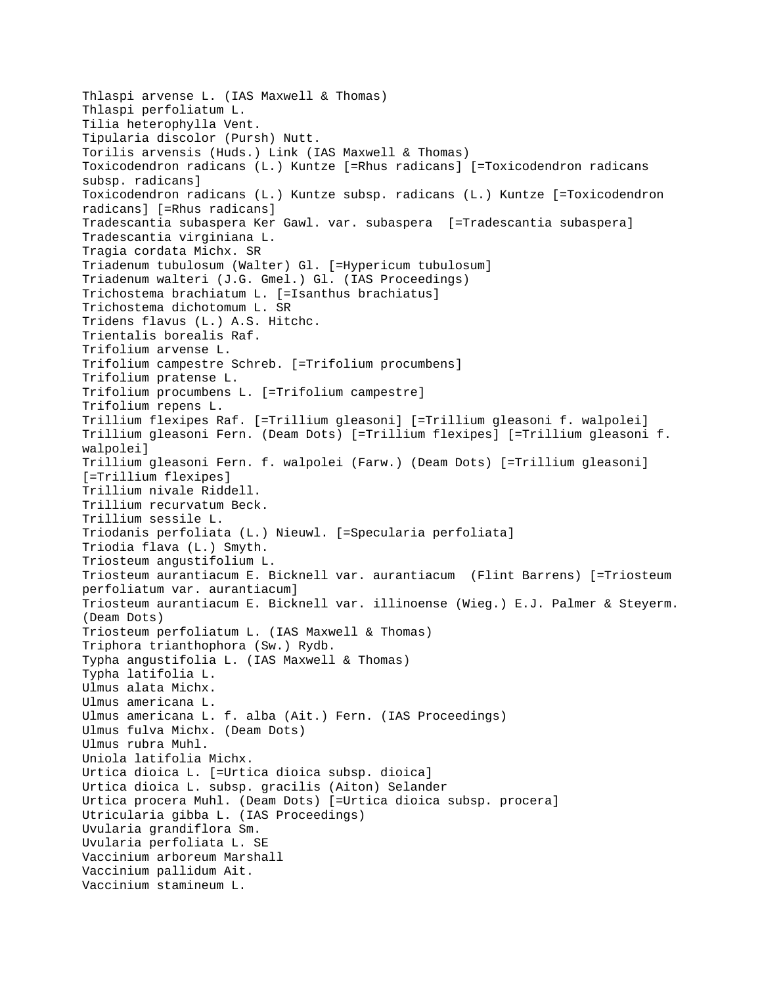Thlaspi arvense L. (IAS Maxwell & Thomas) Thlaspi perfoliatum L. Tilia heterophylla Vent. Tipularia discolor (Pursh) Nutt. Torilis arvensis (Huds.) Link (IAS Maxwell & Thomas) Toxicodendron radicans (L.) Kuntze [=Rhus radicans] [=Toxicodendron radicans subsp. radicans] Toxicodendron radicans (L.) Kuntze subsp. radicans (L.) Kuntze [=Toxicodendron radicans] [=Rhus radicans] Tradescantia subaspera Ker Gawl. var. subaspera [=Tradescantia subaspera] Tradescantia virginiana L. Tragia cordata Michx. SR Triadenum tubulosum (Walter) Gl. [=Hypericum tubulosum] Triadenum walteri (J.G. Gmel.) Gl. (IAS Proceedings) Trichostema brachiatum L. [=Isanthus brachiatus] Trichostema dichotomum L. SR Tridens flavus (L.) A.S. Hitchc. Trientalis borealis Raf. Trifolium arvense L. Trifolium campestre Schreb. [=Trifolium procumbens] Trifolium pratense L. Trifolium procumbens L. [=Trifolium campestre] Trifolium repens L. Trillium flexipes Raf. [=Trillium gleasoni] [=Trillium gleasoni f. walpolei] Trillium gleasoni Fern. (Deam Dots) [=Trillium flexipes] [=Trillium gleasoni f. walpolei] Trillium gleasoni Fern. f. walpolei (Farw.) (Deam Dots) [=Trillium gleasoni] [=Trillium flexipes] Trillium nivale Riddell. Trillium recurvatum Beck. Trillium sessile L. Triodanis perfoliata (L.) Nieuwl. [=Specularia perfoliata] Triodia flava (L.) Smyth. Triosteum angustifolium L. Triosteum aurantiacum E. Bicknell var. aurantiacum (Flint Barrens) [=Triosteum perfoliatum var. aurantiacum] Triosteum aurantiacum E. Bicknell var. illinoense (Wieg.) E.J. Palmer & Steyerm. (Deam Dots) Triosteum perfoliatum L. (IAS Maxwell & Thomas) Triphora trianthophora (Sw.) Rydb. Typha angustifolia L. (IAS Maxwell & Thomas) Typha latifolia L. Ulmus alata Michx. Ulmus americana L. Ulmus americana L. f. alba (Ait.) Fern. (IAS Proceedings) Ulmus fulva Michx. (Deam Dots) Ulmus rubra Muhl. Uniola latifolia Michx. Urtica dioica L. [=Urtica dioica subsp. dioica] Urtica dioica L. subsp. gracilis (Aiton) Selander Urtica procera Muhl. (Deam Dots) [=Urtica dioica subsp. procera] Utricularia gibba L. (IAS Proceedings) Uvularia grandiflora Sm. Uvularia perfoliata L. SE Vaccinium arboreum Marshall Vaccinium pallidum Ait. Vaccinium stamineum L.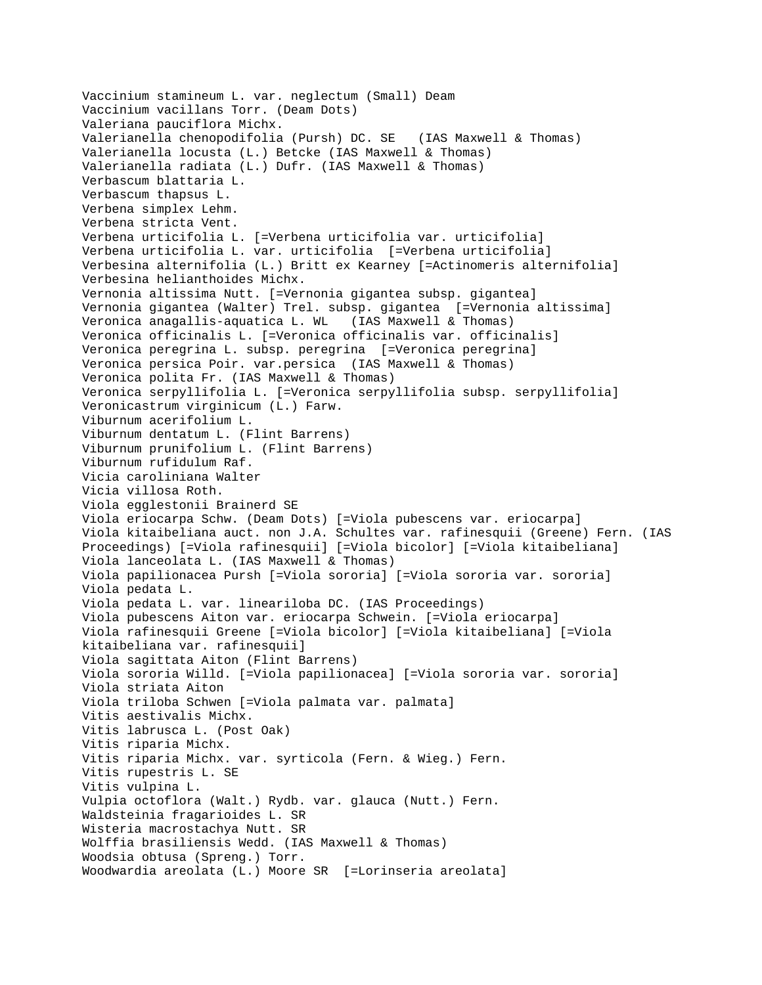```
Vaccinium stamineum L. var. neglectum (Small) Deam
Vaccinium vacillans Torr. (Deam Dots)
Valeriana pauciflora Michx.
Valerianella chenopodifolia (Pursh) DC. SE (IAS Maxwell & Thomas)
Valerianella locusta (L.) Betcke (IAS Maxwell & Thomas)
Valerianella radiata (L.) Dufr. (IAS Maxwell & Thomas)
Verbascum blattaria L.
Verbascum thapsus L.
Verbena simplex Lehm.
Verbena stricta Vent.
Verbena urticifolia L. [=Verbena urticifolia var. urticifolia]
Verbena urticifolia L. var. urticifolia [=Verbena urticifolia]
Verbesina alternifolia (L.) Britt ex Kearney [=Actinomeris alternifolia]
Verbesina helianthoides Michx.
Vernonia altissima Nutt. [=Vernonia gigantea subsp. gigantea]
Vernonia gigantea (Walter) Trel. subsp. gigantea [=Vernonia altissima]
Veronica anagallis-aquatica L. WL (IAS Maxwell & Thomas)
Veronica officinalis L. [=Veronica officinalis var. officinalis]
Veronica peregrina L. subsp. peregrina [=Veronica peregrina]
Veronica persica Poir. var.persica (IAS Maxwell & Thomas)
Veronica polita Fr. (IAS Maxwell & Thomas)
Veronica serpyllifolia L. [=Veronica serpyllifolia subsp. serpyllifolia]
Veronicastrum virginicum (L.) Farw.
Viburnum acerifolium L.
Viburnum dentatum L. (Flint Barrens)
Viburnum prunifolium L. (Flint Barrens)
Viburnum rufidulum Raf.
Vicia caroliniana Walter
Vicia villosa Roth.
Viola egglestonii Brainerd SE
Viola eriocarpa Schw. (Deam Dots) [=Viola pubescens var. eriocarpa]
Viola kitaibeliana auct. non J.A. Schultes var. rafinesquii (Greene) Fern. (IAS 
Proceedings) [=Viola rafinesquii] [=Viola bicolor] [=Viola kitaibeliana]
Viola lanceolata L. (IAS Maxwell & Thomas)
Viola papilionacea Pursh [=Viola sororia] [=Viola sororia var. sororia]
Viola pedata L.
Viola pedata L. var. lineariloba DC. (IAS Proceedings)
Viola pubescens Aiton var. eriocarpa Schwein. [=Viola eriocarpa]
Viola rafinesquii Greene [=Viola bicolor] [=Viola kitaibeliana] [=Viola 
kitaibeliana var. rafinesquii]
Viola sagittata Aiton (Flint Barrens)
Viola sororia Willd. [=Viola papilionacea] [=Viola sororia var. sororia]
Viola striata Aiton
Viola triloba Schwen [=Viola palmata var. palmata]
Vitis aestivalis Michx.
Vitis labrusca L. (Post Oak)
Vitis riparia Michx.
Vitis riparia Michx. var. syrticola (Fern. & Wieg.) Fern.
Vitis rupestris L. SE
Vitis vulpina L.
Vulpia octoflora (Walt.) Rydb. var. glauca (Nutt.) Fern.
Waldsteinia fragarioides L. SR
Wisteria macrostachya Nutt. SR
Wolffia brasiliensis Wedd. (IAS Maxwell & Thomas)
Woodsia obtusa (Spreng.) Torr.
Woodwardia areolata (L.) Moore SR [=Lorinseria areolata]
```